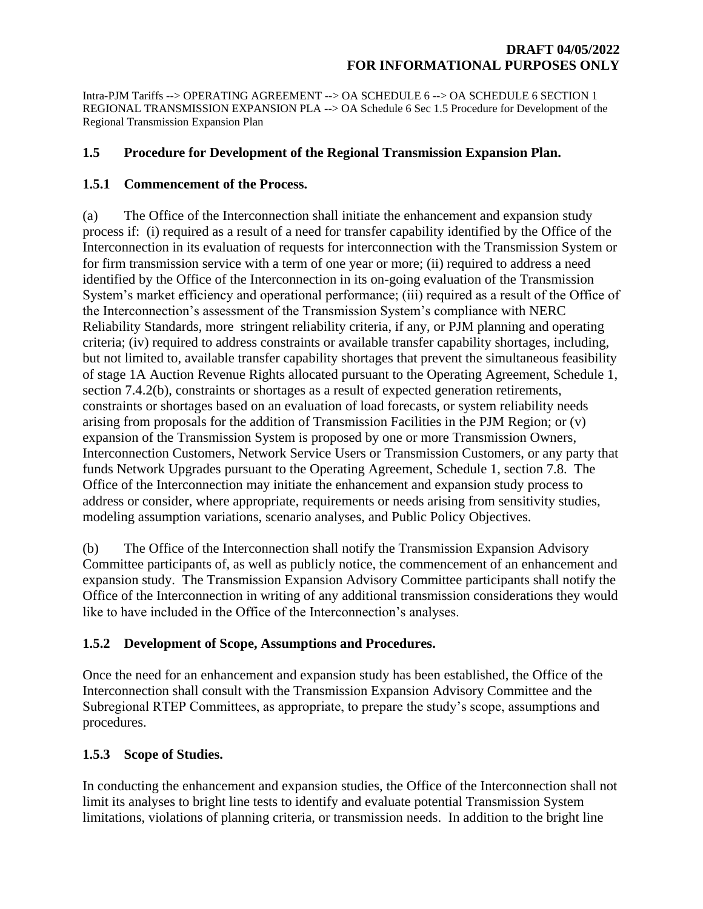Intra-PJM Tariffs --> OPERATING AGREEMENT --> OA SCHEDULE 6 --> OA SCHEDULE 6 SECTION 1 REGIONAL TRANSMISSION EXPANSION PLA --> OA Schedule 6 Sec 1.5 Procedure for Development of the Regional Transmission Expansion Plan

## **1.5 Procedure for Development of the Regional Transmission Expansion Plan.**

## **1.5.1 Commencement of the Process.**

(a) The Office of the Interconnection shall initiate the enhancement and expansion study process if: (i) required as a result of a need for transfer capability identified by the Office of the Interconnection in its evaluation of requests for interconnection with the Transmission System or for firm transmission service with a term of one year or more; (ii) required to address a need identified by the Office of the Interconnection in its on-going evaluation of the Transmission System's market efficiency and operational performance; (iii) required as a result of the Office of the Interconnection's assessment of the Transmission System's compliance with NERC Reliability Standards, more stringent reliability criteria, if any, or PJM planning and operating criteria; (iv) required to address constraints or available transfer capability shortages, including, but not limited to, available transfer capability shortages that prevent the simultaneous feasibility of stage 1A Auction Revenue Rights allocated pursuant to the Operating Agreement, Schedule 1, section 7.4.2(b), constraints or shortages as a result of expected generation retirements, constraints or shortages based on an evaluation of load forecasts, or system reliability needs arising from proposals for the addition of Transmission Facilities in the PJM Region; or (v) expansion of the Transmission System is proposed by one or more Transmission Owners, Interconnection Customers, Network Service Users or Transmission Customers, or any party that funds Network Upgrades pursuant to the Operating Agreement, Schedule 1, section 7.8. The Office of the Interconnection may initiate the enhancement and expansion study process to address or consider, where appropriate, requirements or needs arising from sensitivity studies, modeling assumption variations, scenario analyses, and Public Policy Objectives.

(b) The Office of the Interconnection shall notify the Transmission Expansion Advisory Committee participants of, as well as publicly notice, the commencement of an enhancement and expansion study. The Transmission Expansion Advisory Committee participants shall notify the Office of the Interconnection in writing of any additional transmission considerations they would like to have included in the Office of the Interconnection's analyses.

# **1.5.2 Development of Scope, Assumptions and Procedures.**

Once the need for an enhancement and expansion study has been established, the Office of the Interconnection shall consult with the Transmission Expansion Advisory Committee and the Subregional RTEP Committees, as appropriate, to prepare the study's scope, assumptions and procedures.

# **1.5.3 Scope of Studies.**

In conducting the enhancement and expansion studies, the Office of the Interconnection shall not limit its analyses to bright line tests to identify and evaluate potential Transmission System limitations, violations of planning criteria, or transmission needs. In addition to the bright line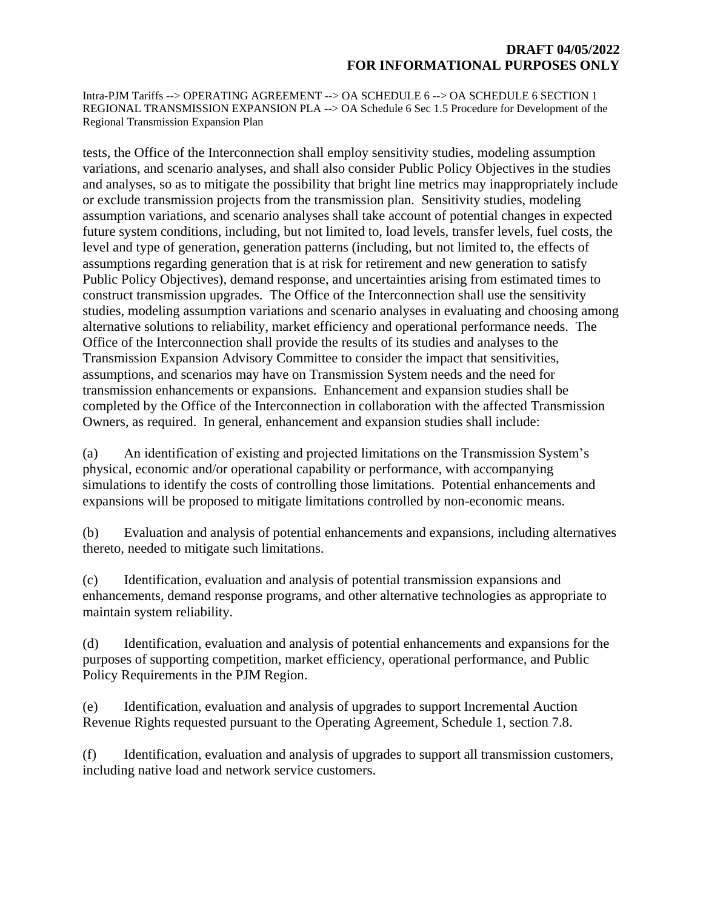Intra-PJM Tariffs --> OPERATING AGREEMENT --> OA SCHEDULE 6 --> OA SCHEDULE 6 SECTION 1 REGIONAL TRANSMISSION EXPANSION PLA --> OA Schedule 6 Sec 1.5 Procedure for Development of the Regional Transmission Expansion Plan

tests, the Office of the Interconnection shall employ sensitivity studies, modeling assumption variations, and scenario analyses, and shall also consider Public Policy Objectives in the studies and analyses, so as to mitigate the possibility that bright line metrics may inappropriately include or exclude transmission projects from the transmission plan. Sensitivity studies, modeling assumption variations, and scenario analyses shall take account of potential changes in expected future system conditions, including, but not limited to, load levels, transfer levels, fuel costs, the level and type of generation, generation patterns (including, but not limited to, the effects of assumptions regarding generation that is at risk for retirement and new generation to satisfy Public Policy Objectives), demand response, and uncertainties arising from estimated times to construct transmission upgrades. The Office of the Interconnection shall use the sensitivity studies, modeling assumption variations and scenario analyses in evaluating and choosing among alternative solutions to reliability, market efficiency and operational performance needs. The Office of the Interconnection shall provide the results of its studies and analyses to the Transmission Expansion Advisory Committee to consider the impact that sensitivities, assumptions, and scenarios may have on Transmission System needs and the need for transmission enhancements or expansions. Enhancement and expansion studies shall be completed by the Office of the Interconnection in collaboration with the affected Transmission Owners, as required. In general, enhancement and expansion studies shall include:

(a) An identification of existing and projected limitations on the Transmission System's physical, economic and/or operational capability or performance, with accompanying simulations to identify the costs of controlling those limitations. Potential enhancements and expansions will be proposed to mitigate limitations controlled by non-economic means.

(b) Evaluation and analysis of potential enhancements and expansions, including alternatives thereto, needed to mitigate such limitations.

(c) Identification, evaluation and analysis of potential transmission expansions and enhancements, demand response programs, and other alternative technologies as appropriate to maintain system reliability.

(d) Identification, evaluation and analysis of potential enhancements and expansions for the purposes of supporting competition, market efficiency, operational performance, and Public Policy Requirements in the PJM Region.

(e) Identification, evaluation and analysis of upgrades to support Incremental Auction Revenue Rights requested pursuant to the Operating Agreement, Schedule 1, section 7.8.

(f) Identification, evaluation and analysis of upgrades to support all transmission customers, including native load and network service customers.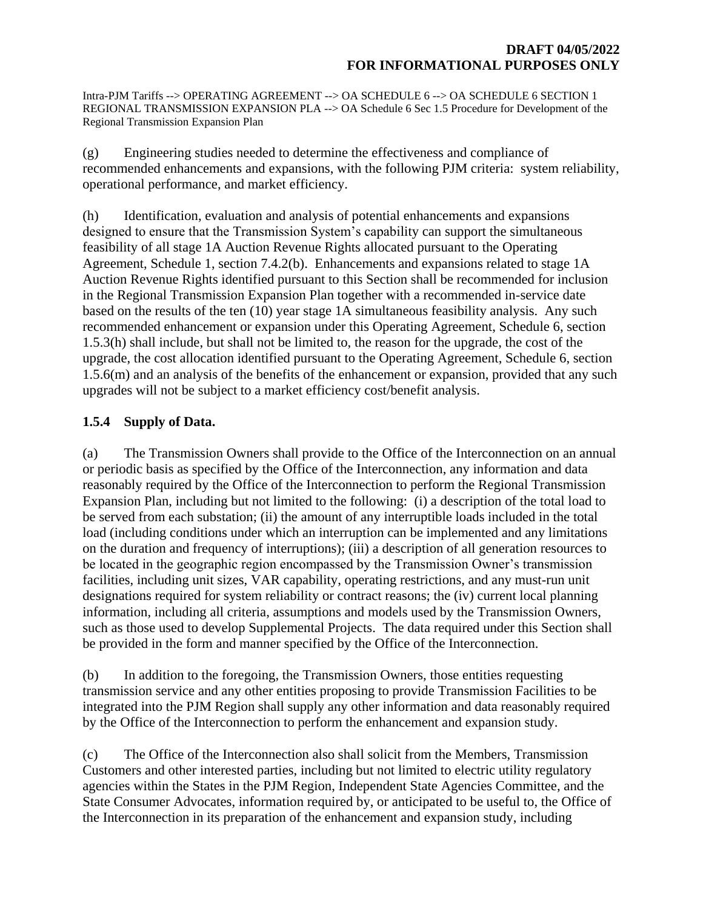(g) Engineering studies needed to determine the effectiveness and compliance of recommended enhancements and expansions, with the following PJM criteria: system reliability, operational performance, and market efficiency.

(h) Identification, evaluation and analysis of potential enhancements and expansions designed to ensure that the Transmission System's capability can support the simultaneous feasibility of all stage 1A Auction Revenue Rights allocated pursuant to the Operating Agreement, Schedule 1, section 7.4.2(b). Enhancements and expansions related to stage 1A Auction Revenue Rights identified pursuant to this Section shall be recommended for inclusion in the Regional Transmission Expansion Plan together with a recommended in-service date based on the results of the ten (10) year stage 1A simultaneous feasibility analysis. Any such recommended enhancement or expansion under this Operating Agreement, Schedule 6, section 1.5.3(h) shall include, but shall not be limited to, the reason for the upgrade, the cost of the upgrade, the cost allocation identified pursuant to the Operating Agreement, Schedule 6, section 1.5.6(m) and an analysis of the benefits of the enhancement or expansion, provided that any such upgrades will not be subject to a market efficiency cost/benefit analysis.

# **1.5.4 Supply of Data.**

(a) The Transmission Owners shall provide to the Office of the Interconnection on an annual or periodic basis as specified by the Office of the Interconnection, any information and data reasonably required by the Office of the Interconnection to perform the Regional Transmission Expansion Plan, including but not limited to the following: (i) a description of the total load to be served from each substation; (ii) the amount of any interruptible loads included in the total load (including conditions under which an interruption can be implemented and any limitations on the duration and frequency of interruptions); (iii) a description of all generation resources to be located in the geographic region encompassed by the Transmission Owner's transmission facilities, including unit sizes, VAR capability, operating restrictions, and any must-run unit designations required for system reliability or contract reasons; the (iv) current local planning information, including all criteria, assumptions and models used by the Transmission Owners, such as those used to develop Supplemental Projects. The data required under this Section shall be provided in the form and manner specified by the Office of the Interconnection.

(b) In addition to the foregoing, the Transmission Owners, those entities requesting transmission service and any other entities proposing to provide Transmission Facilities to be integrated into the PJM Region shall supply any other information and data reasonably required by the Office of the Interconnection to perform the enhancement and expansion study.

(c) The Office of the Interconnection also shall solicit from the Members, Transmission Customers and other interested parties, including but not limited to electric utility regulatory agencies within the States in the PJM Region, Independent State Agencies Committee, and the State Consumer Advocates, information required by, or anticipated to be useful to, the Office of the Interconnection in its preparation of the enhancement and expansion study, including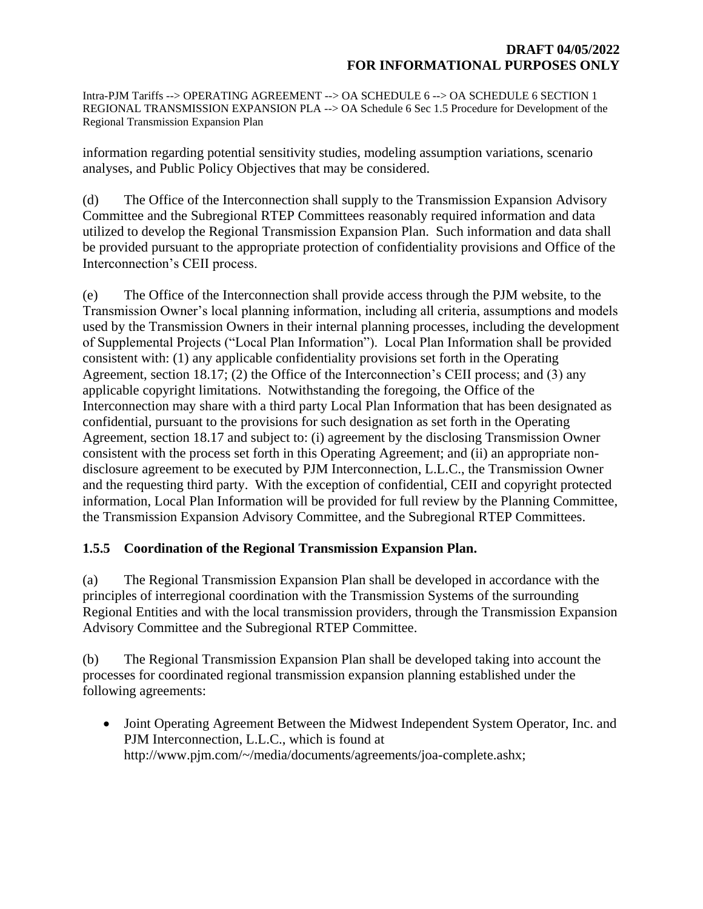information regarding potential sensitivity studies, modeling assumption variations, scenario analyses, and Public Policy Objectives that may be considered.

(d) The Office of the Interconnection shall supply to the Transmission Expansion Advisory Committee and the Subregional RTEP Committees reasonably required information and data utilized to develop the Regional Transmission Expansion Plan. Such information and data shall be provided pursuant to the appropriate protection of confidentiality provisions and Office of the Interconnection's CEII process.

(e) The Office of the Interconnection shall provide access through the PJM website, to the Transmission Owner's local planning information, including all criteria, assumptions and models used by the Transmission Owners in their internal planning processes, including the development of Supplemental Projects ("Local Plan Information"). Local Plan Information shall be provided consistent with: (1) any applicable confidentiality provisions set forth in the Operating Agreement, section 18.17; (2) the Office of the Interconnection's CEII process; and (3) any applicable copyright limitations. Notwithstanding the foregoing, the Office of the Interconnection may share with a third party Local Plan Information that has been designated as confidential, pursuant to the provisions for such designation as set forth in the Operating Agreement, section 18.17 and subject to: (i) agreement by the disclosing Transmission Owner consistent with the process set forth in this Operating Agreement; and (ii) an appropriate nondisclosure agreement to be executed by PJM Interconnection, L.L.C., the Transmission Owner and the requesting third party. With the exception of confidential, CEII and copyright protected information, Local Plan Information will be provided for full review by the Planning Committee, the Transmission Expansion Advisory Committee, and the Subregional RTEP Committees.

# **1.5.5 Coordination of the Regional Transmission Expansion Plan.**

(a) The Regional Transmission Expansion Plan shall be developed in accordance with the principles of interregional coordination with the Transmission Systems of the surrounding Regional Entities and with the local transmission providers, through the Transmission Expansion Advisory Committee and the Subregional RTEP Committee.

(b) The Regional Transmission Expansion Plan shall be developed taking into account the processes for coordinated regional transmission expansion planning established under the following agreements:

 Joint Operating Agreement Between the Midwest Independent System Operator, Inc. and PJM Interconnection, L.L.C., which is found at http://www.pjm.com/~/media/documents/agreements/joa-complete.ashx;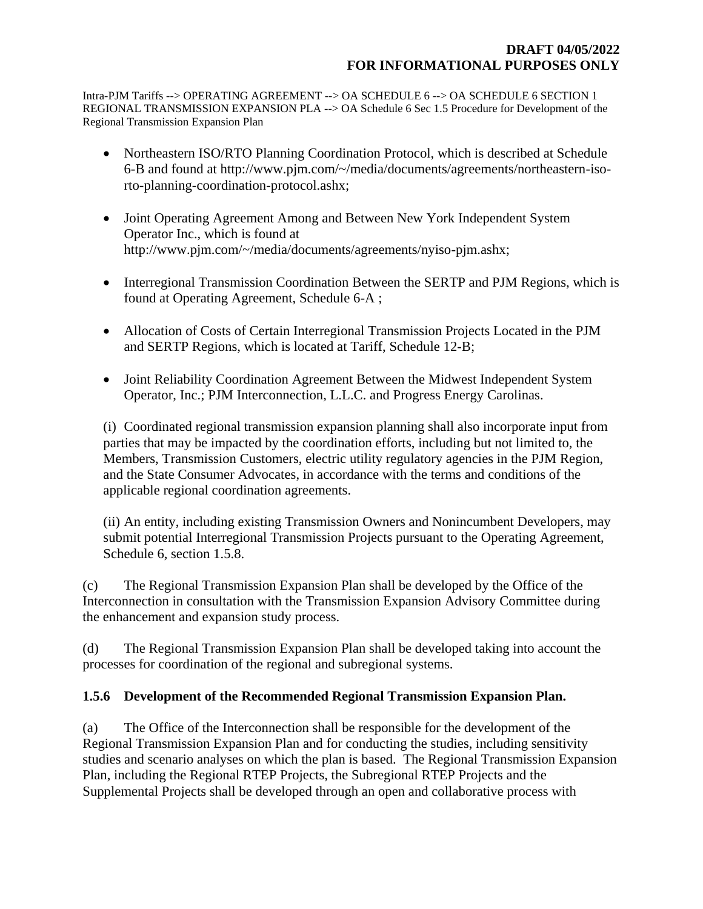- Northeastern ISO/RTO Planning Coordination Protocol, which is described at Schedule 6-B and found at [http://www.pjm.com/~/media/documents/agreements/northeastern-iso](http://www.pjm.com/~/media/documents/agreements/northeastern-iso-rto-planning-coordination-protocol.ashx)[rto-planning-coordination-protocol.ashx;](http://www.pjm.com/~/media/documents/agreements/northeastern-iso-rto-planning-coordination-protocol.ashx)
- Joint Operating Agreement Among and Between New York Independent System Operator Inc., which is found at [http://www.pjm.com/~/media/documents/agreements/nyiso-pjm.ashx;](http://www.pjm.com/~/media/documents/agreements/nyiso-pjm.ashx)
- Interregional Transmission Coordination Between the SERTP and PJM Regions, which is found at Operating Agreement, Schedule 6-A ;
- Allocation of Costs of Certain Interregional Transmission Projects Located in the PJM and SERTP Regions, which is located at Tariff, Schedule 12-B;
- Joint Reliability Coordination Agreement Between the Midwest Independent System Operator, Inc.; PJM Interconnection, L.L.C. and Progress Energy Carolinas.

(i) Coordinated regional transmission expansion planning shall also incorporate input from parties that may be impacted by the coordination efforts, including but not limited to, the Members, Transmission Customers, electric utility regulatory agencies in the PJM Region, and the State Consumer Advocates, in accordance with the terms and conditions of the applicable regional coordination agreements.

(ii) An entity, including existing Transmission Owners and Nonincumbent Developers, may submit potential Interregional Transmission Projects pursuant to the Operating Agreement, Schedule 6, section 1.5.8.

(c) The Regional Transmission Expansion Plan shall be developed by the Office of the Interconnection in consultation with the Transmission Expansion Advisory Committee during the enhancement and expansion study process.

(d) The Regional Transmission Expansion Plan shall be developed taking into account the processes for coordination of the regional and subregional systems.

# **1.5.6 Development of the Recommended Regional Transmission Expansion Plan.**

(a) The Office of the Interconnection shall be responsible for the development of the Regional Transmission Expansion Plan and for conducting the studies, including sensitivity studies and scenario analyses on which the plan is based. The Regional Transmission Expansion Plan, including the Regional RTEP Projects, the Subregional RTEP Projects and the Supplemental Projects shall be developed through an open and collaborative process with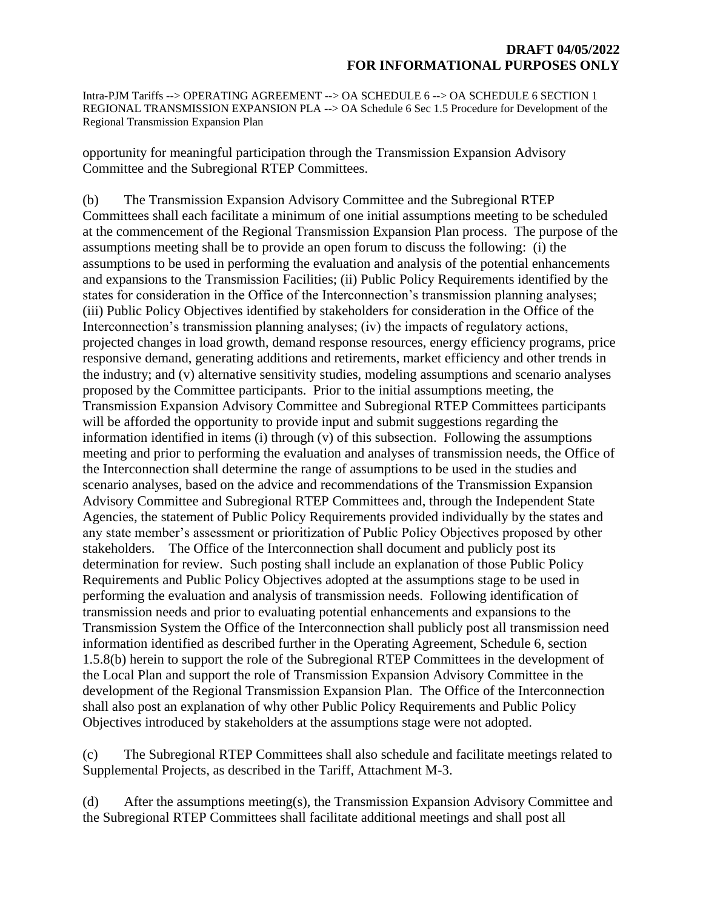opportunity for meaningful participation through the Transmission Expansion Advisory Committee and the Subregional RTEP Committees.

(b) The Transmission Expansion Advisory Committee and the Subregional RTEP Committees shall each facilitate a minimum of one initial assumptions meeting to be scheduled at the commencement of the Regional Transmission Expansion Plan process. The purpose of the assumptions meeting shall be to provide an open forum to discuss the following: (i) the assumptions to be used in performing the evaluation and analysis of the potential enhancements and expansions to the Transmission Facilities; (ii) Public Policy Requirements identified by the states for consideration in the Office of the Interconnection's transmission planning analyses; (iii) Public Policy Objectives identified by stakeholders for consideration in the Office of the Interconnection's transmission planning analyses; (iv) the impacts of regulatory actions, projected changes in load growth, demand response resources, energy efficiency programs, price responsive demand, generating additions and retirements, market efficiency and other trends in the industry; and (v) alternative sensitivity studies, modeling assumptions and scenario analyses proposed by the Committee participants. Prior to the initial assumptions meeting, the Transmission Expansion Advisory Committee and Subregional RTEP Committees participants will be afforded the opportunity to provide input and submit suggestions regarding the information identified in items (i) through (v) of this subsection. Following the assumptions meeting and prior to performing the evaluation and analyses of transmission needs, the Office of the Interconnection shall determine the range of assumptions to be used in the studies and scenario analyses, based on the advice and recommendations of the Transmission Expansion Advisory Committee and Subregional RTEP Committees and, through the Independent State Agencies, the statement of Public Policy Requirements provided individually by the states and any state member's assessment or prioritization of Public Policy Objectives proposed by other stakeholders. The Office of the Interconnection shall document and publicly post its determination for review. Such posting shall include an explanation of those Public Policy Requirements and Public Policy Objectives adopted at the assumptions stage to be used in performing the evaluation and analysis of transmission needs. Following identification of transmission needs and prior to evaluating potential enhancements and expansions to the Transmission System the Office of the Interconnection shall publicly post all transmission need information identified as described further in the Operating Agreement, Schedule 6, section 1.5.8(b) herein to support the role of the Subregional RTEP Committees in the development of the Local Plan and support the role of Transmission Expansion Advisory Committee in the development of the Regional Transmission Expansion Plan. The Office of the Interconnection shall also post an explanation of why other Public Policy Requirements and Public Policy Objectives introduced by stakeholders at the assumptions stage were not adopted.

(c) The Subregional RTEP Committees shall also schedule and facilitate meetings related to Supplemental Projects, as described in the Tariff, Attachment M-3.

(d) After the assumptions meeting(s), the Transmission Expansion Advisory Committee and the Subregional RTEP Committees shall facilitate additional meetings and shall post all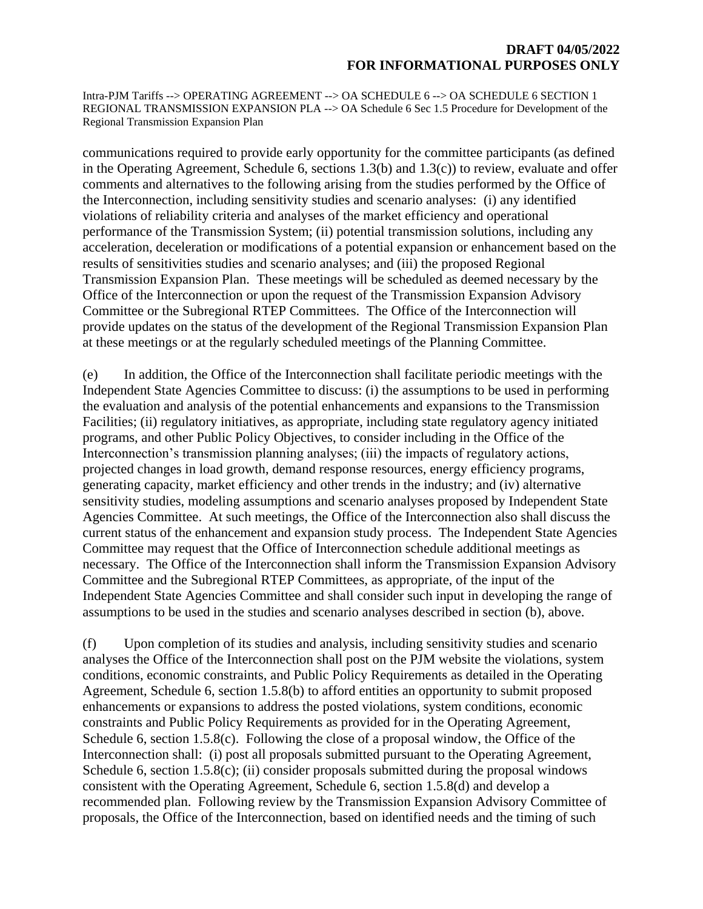Intra-PJM Tariffs --> OPERATING AGREEMENT --> OA SCHEDULE 6 --> OA SCHEDULE 6 SECTION 1 REGIONAL TRANSMISSION EXPANSION PLA --> OA Schedule 6 Sec 1.5 Procedure for Development of the Regional Transmission Expansion Plan

communications required to provide early opportunity for the committee participants (as defined in the Operating Agreement, Schedule 6, sections  $1.3(b)$  and  $1.3(c)$ ) to review, evaluate and offer comments and alternatives to the following arising from the studies performed by the Office of the Interconnection, including sensitivity studies and scenario analyses: (i) any identified violations of reliability criteria and analyses of the market efficiency and operational performance of the Transmission System; (ii) potential transmission solutions, including any acceleration, deceleration or modifications of a potential expansion or enhancement based on the results of sensitivities studies and scenario analyses; and (iii) the proposed Regional Transmission Expansion Plan. These meetings will be scheduled as deemed necessary by the Office of the Interconnection or upon the request of the Transmission Expansion Advisory Committee or the Subregional RTEP Committees. The Office of the Interconnection will provide updates on the status of the development of the Regional Transmission Expansion Plan at these meetings or at the regularly scheduled meetings of the Planning Committee.

(e) In addition, the Office of the Interconnection shall facilitate periodic meetings with the Independent State Agencies Committee to discuss: (i) the assumptions to be used in performing the evaluation and analysis of the potential enhancements and expansions to the Transmission Facilities; (ii) regulatory initiatives, as appropriate, including state regulatory agency initiated programs, and other Public Policy Objectives, to consider including in the Office of the Interconnection's transmission planning analyses; (iii) the impacts of regulatory actions, projected changes in load growth, demand response resources, energy efficiency programs, generating capacity, market efficiency and other trends in the industry; and (iv) alternative sensitivity studies, modeling assumptions and scenario analyses proposed by Independent State Agencies Committee. At such meetings, the Office of the Interconnection also shall discuss the current status of the enhancement and expansion study process. The Independent State Agencies Committee may request that the Office of Interconnection schedule additional meetings as necessary. The Office of the Interconnection shall inform the Transmission Expansion Advisory Committee and the Subregional RTEP Committees, as appropriate, of the input of the Independent State Agencies Committee and shall consider such input in developing the range of assumptions to be used in the studies and scenario analyses described in section (b), above.

(f) Upon completion of its studies and analysis, including sensitivity studies and scenario analyses the Office of the Interconnection shall post on the PJM website the violations, system conditions, economic constraints, and Public Policy Requirements as detailed in the Operating Agreement, Schedule 6, section 1.5.8(b) to afford entities an opportunity to submit proposed enhancements or expansions to address the posted violations, system conditions, economic constraints and Public Policy Requirements as provided for in the Operating Agreement, Schedule 6, section 1.5.8(c). Following the close of a proposal window, the Office of the Interconnection shall: (i) post all proposals submitted pursuant to the Operating Agreement, Schedule 6, section 1.5.8(c); (ii) consider proposals submitted during the proposal windows consistent with the Operating Agreement, Schedule 6, section 1.5.8(d) and develop a recommended plan. Following review by the Transmission Expansion Advisory Committee of proposals, the Office of the Interconnection, based on identified needs and the timing of such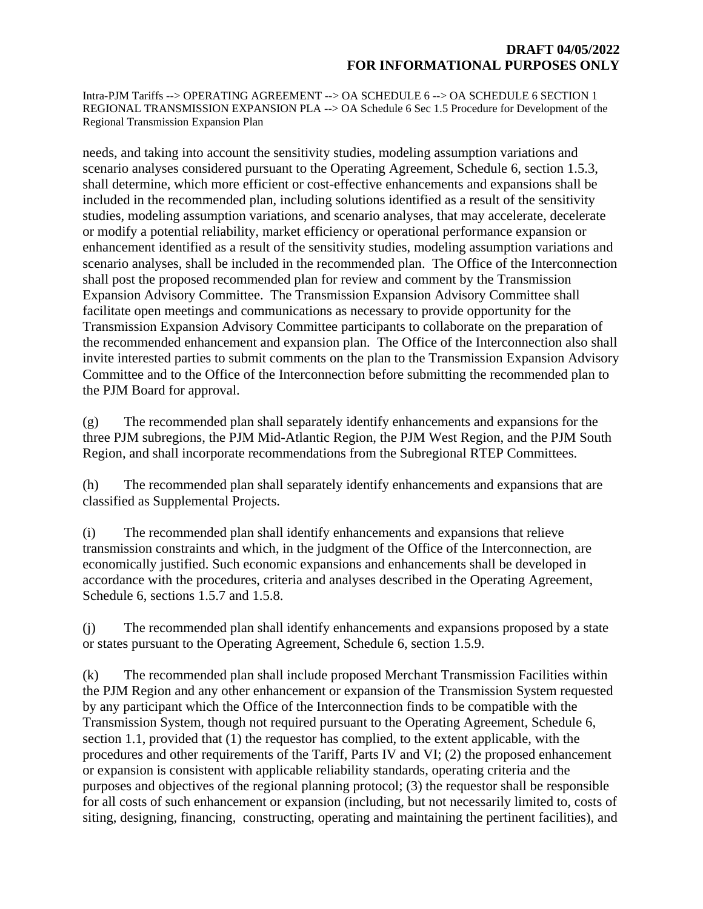Intra-PJM Tariffs --> OPERATING AGREEMENT --> OA SCHEDULE 6 --> OA SCHEDULE 6 SECTION 1 REGIONAL TRANSMISSION EXPANSION PLA --> OA Schedule 6 Sec 1.5 Procedure for Development of the Regional Transmission Expansion Plan

needs, and taking into account the sensitivity studies, modeling assumption variations and scenario analyses considered pursuant to the Operating Agreement, Schedule 6, section 1.5.3, shall determine, which more efficient or cost-effective enhancements and expansions shall be included in the recommended plan, including solutions identified as a result of the sensitivity studies, modeling assumption variations, and scenario analyses, that may accelerate, decelerate or modify a potential reliability, market efficiency or operational performance expansion or enhancement identified as a result of the sensitivity studies, modeling assumption variations and scenario analyses, shall be included in the recommended plan. The Office of the Interconnection shall post the proposed recommended plan for review and comment by the Transmission Expansion Advisory Committee. The Transmission Expansion Advisory Committee shall facilitate open meetings and communications as necessary to provide opportunity for the Transmission Expansion Advisory Committee participants to collaborate on the preparation of the recommended enhancement and expansion plan. The Office of the Interconnection also shall invite interested parties to submit comments on the plan to the Transmission Expansion Advisory Committee and to the Office of the Interconnection before submitting the recommended plan to the PJM Board for approval.

(g) The recommended plan shall separately identify enhancements and expansions for the three PJM subregions, the PJM Mid-Atlantic Region, the PJM West Region, and the PJM South Region, and shall incorporate recommendations from the Subregional RTEP Committees.

(h) The recommended plan shall separately identify enhancements and expansions that are classified as Supplemental Projects.

(i) The recommended plan shall identify enhancements and expansions that relieve transmission constraints and which, in the judgment of the Office of the Interconnection, are economically justified. Such economic expansions and enhancements shall be developed in accordance with the procedures, criteria and analyses described in the Operating Agreement, Schedule 6, sections 1.5.7 and 1.5.8.

(j) The recommended plan shall identify enhancements and expansions proposed by a state or states pursuant to the Operating Agreement, Schedule 6, section 1.5.9.

(k) The recommended plan shall include proposed Merchant Transmission Facilities within the PJM Region and any other enhancement or expansion of the Transmission System requested by any participant which the Office of the Interconnection finds to be compatible with the Transmission System, though not required pursuant to the Operating Agreement, Schedule 6, section 1.1, provided that (1) the requestor has complied, to the extent applicable, with the procedures and other requirements of the Tariff, Parts IV and VI; (2) the proposed enhancement or expansion is consistent with applicable reliability standards, operating criteria and the purposes and objectives of the regional planning protocol; (3) the requestor shall be responsible for all costs of such enhancement or expansion (including, but not necessarily limited to, costs of siting, designing, financing, constructing, operating and maintaining the pertinent facilities), and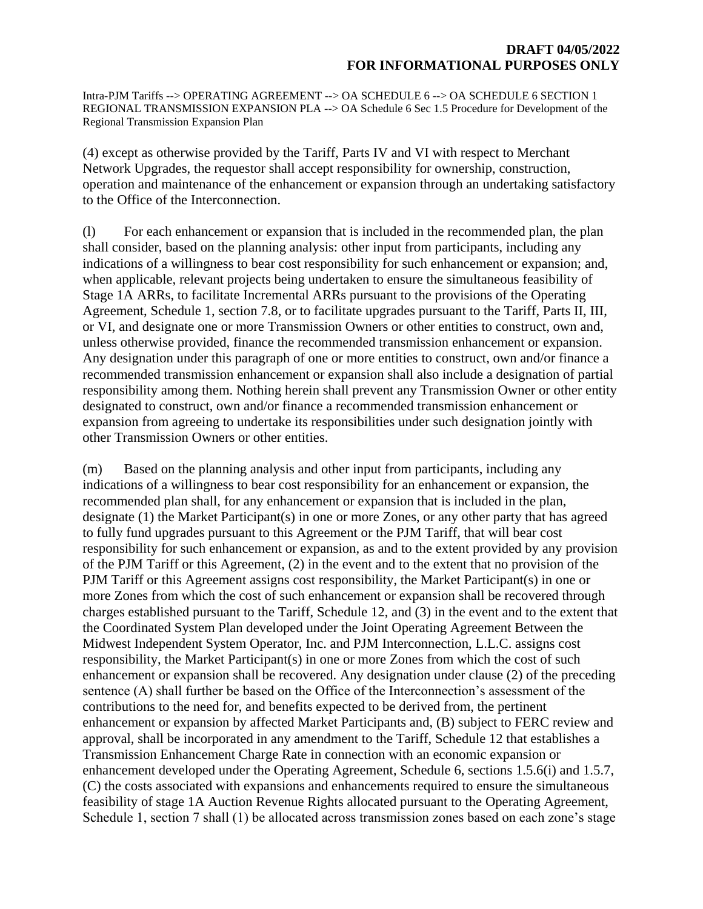(4) except as otherwise provided by the Tariff, Parts IV and VI with respect to Merchant Network Upgrades, the requestor shall accept responsibility for ownership, construction, operation and maintenance of the enhancement or expansion through an undertaking satisfactory to the Office of the Interconnection.

(l) For each enhancement or expansion that is included in the recommended plan, the plan shall consider, based on the planning analysis: other input from participants, including any indications of a willingness to bear cost responsibility for such enhancement or expansion; and, when applicable, relevant projects being undertaken to ensure the simultaneous feasibility of Stage 1A ARRs, to facilitate Incremental ARRs pursuant to the provisions of the Operating Agreement, Schedule 1, section 7.8, or to facilitate upgrades pursuant to the Tariff, Parts II, III, or VI, and designate one or more Transmission Owners or other entities to construct, own and, unless otherwise provided, finance the recommended transmission enhancement or expansion. Any designation under this paragraph of one or more entities to construct, own and/or finance a recommended transmission enhancement or expansion shall also include a designation of partial responsibility among them. Nothing herein shall prevent any Transmission Owner or other entity designated to construct, own and/or finance a recommended transmission enhancement or expansion from agreeing to undertake its responsibilities under such designation jointly with other Transmission Owners or other entities.

(m) Based on the planning analysis and other input from participants, including any indications of a willingness to bear cost responsibility for an enhancement or expansion, the recommended plan shall, for any enhancement or expansion that is included in the plan, designate (1) the Market Participant(s) in one or more Zones, or any other party that has agreed to fully fund upgrades pursuant to this Agreement or the PJM Tariff, that will bear cost responsibility for such enhancement or expansion, as and to the extent provided by any provision of the PJM Tariff or this Agreement, (2) in the event and to the extent that no provision of the PJM Tariff or this Agreement assigns cost responsibility, the Market Participant(s) in one or more Zones from which the cost of such enhancement or expansion shall be recovered through charges established pursuant to the Tariff, Schedule 12, and (3) in the event and to the extent that the Coordinated System Plan developed under the Joint Operating Agreement Between the Midwest Independent System Operator, Inc. and PJM Interconnection, L.L.C. assigns cost responsibility, the Market Participant(s) in one or more Zones from which the cost of such enhancement or expansion shall be recovered. Any designation under clause (2) of the preceding sentence (A) shall further be based on the Office of the Interconnection's assessment of the contributions to the need for, and benefits expected to be derived from, the pertinent enhancement or expansion by affected Market Participants and, (B) subject to FERC review and approval, shall be incorporated in any amendment to the Tariff, Schedule 12 that establishes a Transmission Enhancement Charge Rate in connection with an economic expansion or enhancement developed under the Operating Agreement, Schedule 6, sections 1.5.6(i) and 1.5.7, (C) the costs associated with expansions and enhancements required to ensure the simultaneous feasibility of stage 1A Auction Revenue Rights allocated pursuant to the Operating Agreement, Schedule 1, section 7 shall (1) be allocated across transmission zones based on each zone's stage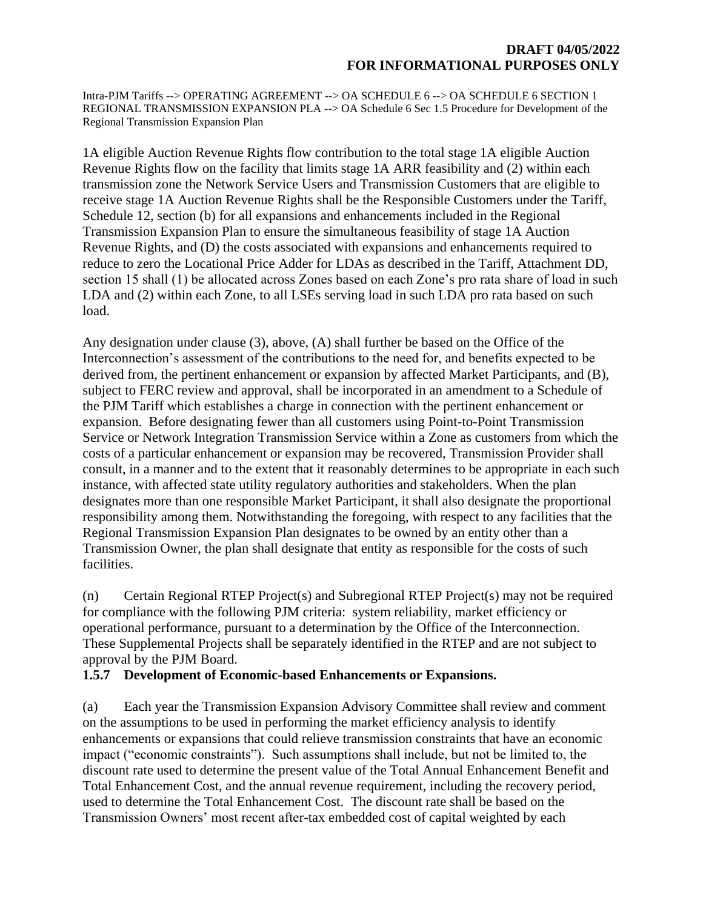1A eligible Auction Revenue Rights flow contribution to the total stage 1A eligible Auction Revenue Rights flow on the facility that limits stage 1A ARR feasibility and (2) within each transmission zone the Network Service Users and Transmission Customers that are eligible to receive stage 1A Auction Revenue Rights shall be the Responsible Customers under the Tariff, Schedule 12, section (b) for all expansions and enhancements included in the Regional Transmission Expansion Plan to ensure the simultaneous feasibility of stage 1A Auction Revenue Rights, and (D) the costs associated with expansions and enhancements required to reduce to zero the Locational Price Adder for LDAs as described in the Tariff, Attachment DD, section 15 shall (1) be allocated across Zones based on each Zone's pro rata share of load in such LDA and (2) within each Zone, to all LSEs serving load in such LDA pro rata based on such load.

Any designation under clause (3), above, (A) shall further be based on the Office of the Interconnection's assessment of the contributions to the need for, and benefits expected to be derived from, the pertinent enhancement or expansion by affected Market Participants, and (B), subject to FERC review and approval, shall be incorporated in an amendment to a Schedule of the PJM Tariff which establishes a charge in connection with the pertinent enhancement or expansion. Before designating fewer than all customers using Point-to-Point Transmission Service or Network Integration Transmission Service within a Zone as customers from which the costs of a particular enhancement or expansion may be recovered, Transmission Provider shall consult, in a manner and to the extent that it reasonably determines to be appropriate in each such instance, with affected state utility regulatory authorities and stakeholders. When the plan designates more than one responsible Market Participant, it shall also designate the proportional responsibility among them. Notwithstanding the foregoing, with respect to any facilities that the Regional Transmission Expansion Plan designates to be owned by an entity other than a Transmission Owner, the plan shall designate that entity as responsible for the costs of such facilities.

(n) Certain Regional RTEP Project(s) and Subregional RTEP Project(s) may not be required for compliance with the following PJM criteria: system reliability, market efficiency or operational performance, pursuant to a determination by the Office of the Interconnection. These Supplemental Projects shall be separately identified in the RTEP and are not subject to approval by the PJM Board.

### **1.5.7 Development of Economic-based Enhancements or Expansions.**

(a) Each year the Transmission Expansion Advisory Committee shall review and comment on the assumptions to be used in performing the market efficiency analysis to identify enhancements or expansions that could relieve transmission constraints that have an economic impact ("economic constraints"). Such assumptions shall include, but not be limited to, the discount rate used to determine the present value of the Total Annual Enhancement Benefit and Total Enhancement Cost, and the annual revenue requirement, including the recovery period, used to determine the Total Enhancement Cost. The discount rate shall be based on the Transmission Owners' most recent after-tax embedded cost of capital weighted by each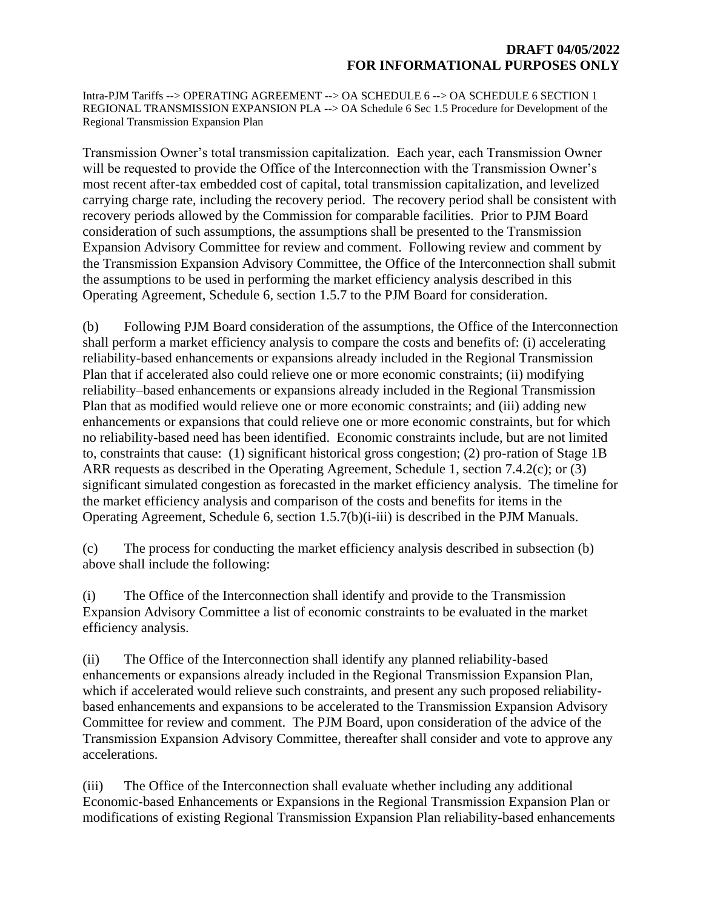Transmission Owner's total transmission capitalization. Each year, each Transmission Owner will be requested to provide the Office of the Interconnection with the Transmission Owner's most recent after-tax embedded cost of capital, total transmission capitalization, and levelized carrying charge rate, including the recovery period. The recovery period shall be consistent with recovery periods allowed by the Commission for comparable facilities. Prior to PJM Board consideration of such assumptions, the assumptions shall be presented to the Transmission Expansion Advisory Committee for review and comment. Following review and comment by the Transmission Expansion Advisory Committee, the Office of the Interconnection shall submit the assumptions to be used in performing the market efficiency analysis described in this Operating Agreement, Schedule 6, section 1.5.7 to the PJM Board for consideration.

(b) Following PJM Board consideration of the assumptions, the Office of the Interconnection shall perform a market efficiency analysis to compare the costs and benefits of: (i) accelerating reliability-based enhancements or expansions already included in the Regional Transmission Plan that if accelerated also could relieve one or more economic constraints; (ii) modifying reliability–based enhancements or expansions already included in the Regional Transmission Plan that as modified would relieve one or more economic constraints; and (iii) adding new enhancements or expansions that could relieve one or more economic constraints, but for which no reliability-based need has been identified. Economic constraints include, but are not limited to, constraints that cause: (1) significant historical gross congestion; (2) pro-ration of Stage 1B ARR requests as described in the Operating Agreement, Schedule 1, section 7.4.2(c); or (3) significant simulated congestion as forecasted in the market efficiency analysis. The timeline for the market efficiency analysis and comparison of the costs and benefits for items in the Operating Agreement, Schedule 6, section 1.5.7(b)(i-iii) is described in the PJM Manuals.

(c) The process for conducting the market efficiency analysis described in subsection (b) above shall include the following:

(i) The Office of the Interconnection shall identify and provide to the Transmission Expansion Advisory Committee a list of economic constraints to be evaluated in the market efficiency analysis.

(ii) The Office of the Interconnection shall identify any planned reliability-based enhancements or expansions already included in the Regional Transmission Expansion Plan, which if accelerated would relieve such constraints, and present any such proposed reliabilitybased enhancements and expansions to be accelerated to the Transmission Expansion Advisory Committee for review and comment. The PJM Board, upon consideration of the advice of the Transmission Expansion Advisory Committee, thereafter shall consider and vote to approve any accelerations.

(iii) The Office of the Interconnection shall evaluate whether including any additional Economic-based Enhancements or Expansions in the Regional Transmission Expansion Plan or modifications of existing Regional Transmission Expansion Plan reliability-based enhancements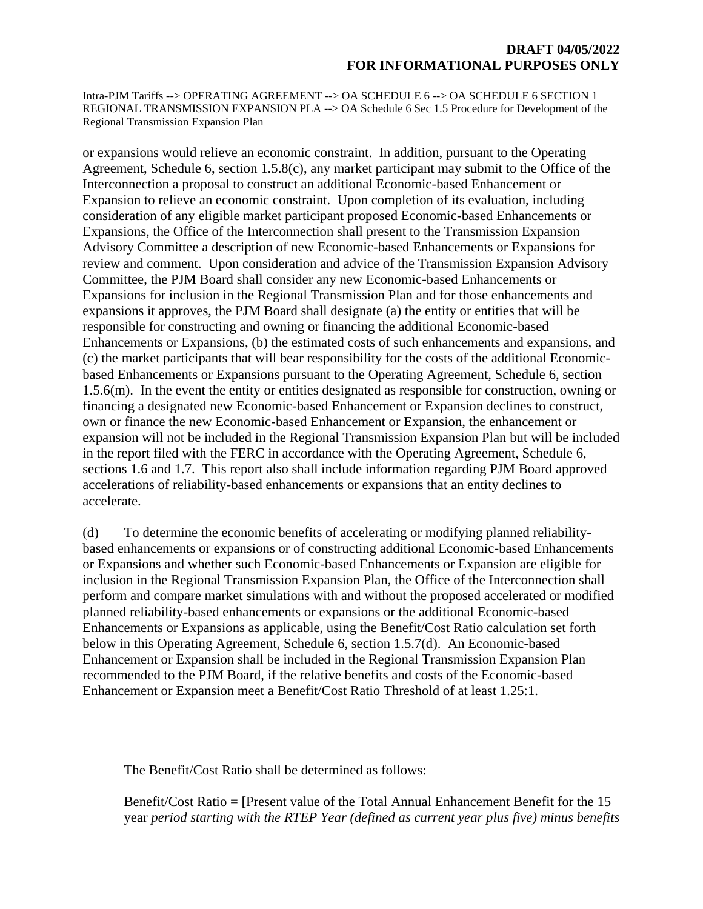Intra-PJM Tariffs --> OPERATING AGREEMENT --> OA SCHEDULE 6 --> OA SCHEDULE 6 SECTION 1 REGIONAL TRANSMISSION EXPANSION PLA --> OA Schedule 6 Sec 1.5 Procedure for Development of the Regional Transmission Expansion Plan

or expansions would relieve an economic constraint. In addition, pursuant to the Operating Agreement, Schedule 6, section 1.5.8(c), any market participant may submit to the Office of the Interconnection a proposal to construct an additional Economic-based Enhancement or Expansion to relieve an economic constraint. Upon completion of its evaluation, including consideration of any eligible market participant proposed Economic-based Enhancements or Expansions, the Office of the Interconnection shall present to the Transmission Expansion Advisory Committee a description of new Economic-based Enhancements or Expansions for review and comment. Upon consideration and advice of the Transmission Expansion Advisory Committee, the PJM Board shall consider any new Economic-based Enhancements or Expansions for inclusion in the Regional Transmission Plan and for those enhancements and expansions it approves, the PJM Board shall designate (a) the entity or entities that will be responsible for constructing and owning or financing the additional Economic-based Enhancements or Expansions, (b) the estimated costs of such enhancements and expansions, and (c) the market participants that will bear responsibility for the costs of the additional Economicbased Enhancements or Expansions pursuant to the Operating Agreement, Schedule 6, section 1.5.6(m). In the event the entity or entities designated as responsible for construction, owning or financing a designated new Economic-based Enhancement or Expansion declines to construct, own or finance the new Economic-based Enhancement or Expansion, the enhancement or expansion will not be included in the Regional Transmission Expansion Plan but will be included in the report filed with the FERC in accordance with the Operating Agreement, Schedule 6, sections 1.6 and 1.7. This report also shall include information regarding PJM Board approved accelerations of reliability-based enhancements or expansions that an entity declines to accelerate.

(d) To determine the economic benefits of accelerating or modifying planned reliabilitybased enhancements or expansions or of constructing additional Economic-based Enhancements or Expansions and whether such Economic-based Enhancements or Expansion are eligible for inclusion in the Regional Transmission Expansion Plan, the Office of the Interconnection shall perform and compare market simulations with and without the proposed accelerated or modified planned reliability-based enhancements or expansions or the additional Economic-based Enhancements or Expansions as applicable, using the Benefit/Cost Ratio calculation set forth below in this Operating Agreement, Schedule 6, section 1.5.7(d). An Economic-based Enhancement or Expansion shall be included in the Regional Transmission Expansion Plan recommended to the PJM Board, if the relative benefits and costs of the Economic-based Enhancement or Expansion meet a Benefit/Cost Ratio Threshold of at least 1.25:1.

The Benefit/Cost Ratio shall be determined as follows:

Benefit/Cost Ratio = [Present value of the Total Annual Enhancement Benefit for the 15 year *period starting with the RTEP Year (defined as current year plus five) minus benefits*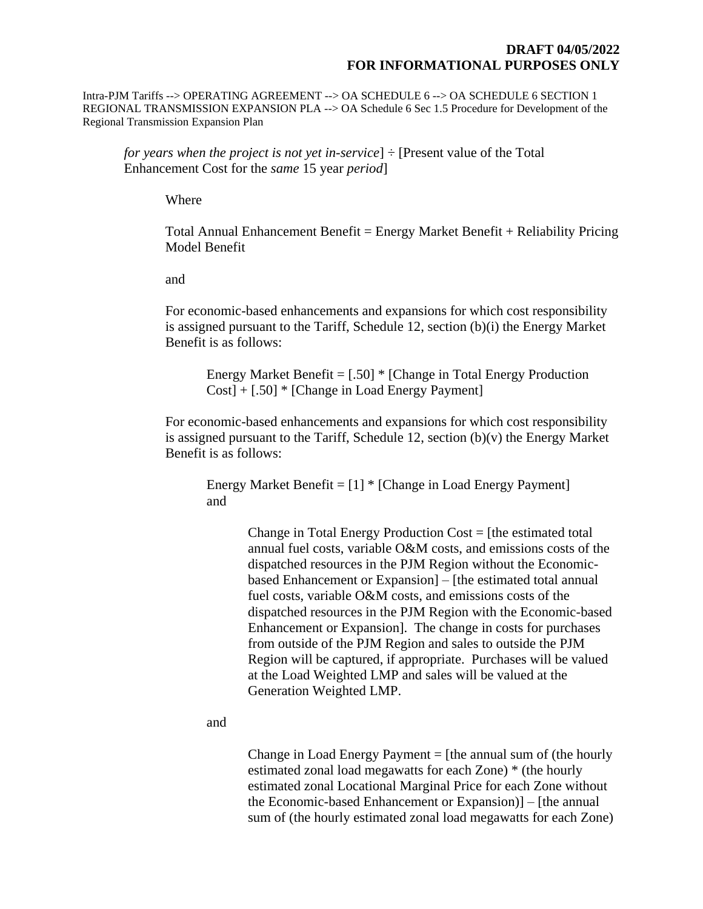Intra-PJM Tariffs --> OPERATING AGREEMENT --> OA SCHEDULE 6 --> OA SCHEDULE 6 SECTION 1 REGIONAL TRANSMISSION EXPANSION PLA --> OA Schedule 6 Sec 1.5 Procedure for Development of the Regional Transmission Expansion Plan

*for years when the project is not yet in-service*]  $\div$  [Present value of the Total] Enhancement Cost for the *same* 15 year *period*]

Where

Total Annual Enhancement Benefit = Energy Market Benefit + Reliability Pricing Model Benefit

and

For economic-based enhancements and expansions for which cost responsibility is assigned pursuant to the Tariff, Schedule 12, section (b)(i) the Energy Market Benefit is as follows:

Energy Market Benefit  $=$  [.50]  $*$  [Change in Total Energy Production Cost] + [.50] \* [Change in Load Energy Payment]

For economic-based enhancements and expansions for which cost responsibility is assigned pursuant to the Tariff, Schedule 12, section  $(b)(v)$  the Energy Market Benefit is as follows:

Energy Market Benefit = [1] \* [Change in Load Energy Payment] and

> Change in Total Energy Production Cost = [the estimated total annual fuel costs, variable O&M costs, and emissions costs of the dispatched resources in the PJM Region without the Economicbased Enhancement or Expansion] – [the estimated total annual fuel costs, variable O&M costs, and emissions costs of the dispatched resources in the PJM Region with the Economic-based Enhancement or Expansion]. The change in costs for purchases from outside of the PJM Region and sales to outside the PJM Region will be captured, if appropriate. Purchases will be valued at the Load Weighted LMP and sales will be valued at the Generation Weighted LMP.

and

Change in Load Energy Payment = [the annual sum of (the hourly estimated zonal load megawatts for each Zone) \* (the hourly estimated zonal Locational Marginal Price for each Zone without the Economic-based Enhancement or Expansion)] – [the annual sum of (the hourly estimated zonal load megawatts for each Zone)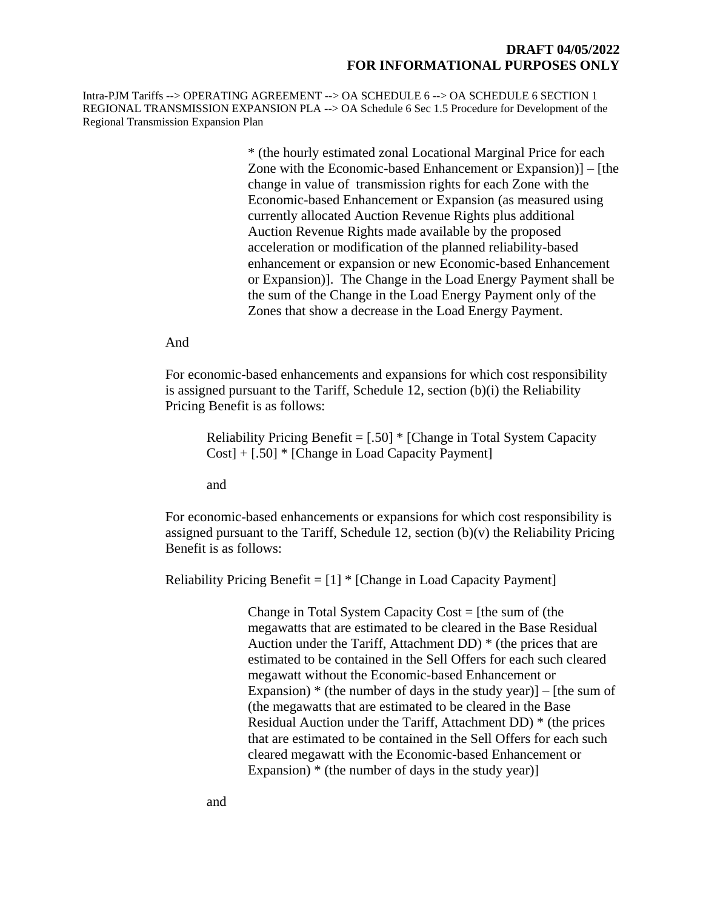> \* (the hourly estimated zonal Locational Marginal Price for each Zone with the Economic-based Enhancement or Expansion)] – [the change in value of transmission rights for each Zone with the Economic-based Enhancement or Expansion (as measured using currently allocated Auction Revenue Rights plus additional Auction Revenue Rights made available by the proposed acceleration or modification of the planned reliability-based enhancement or expansion or new Economic-based Enhancement or Expansion)]. The Change in the Load Energy Payment shall be the sum of the Change in the Load Energy Payment only of the Zones that show a decrease in the Load Energy Payment.

#### And

For economic-based enhancements and expansions for which cost responsibility is assigned pursuant to the Tariff, Schedule 12, section (b)(i) the Reliability Pricing Benefit is as follows:

Reliability Pricing Benefit  $=$  [.50]  $*$  [Change in Total System Capacity Cost] + [.50] \* [Change in Load Capacity Payment]

and

For economic-based enhancements or expansions for which cost responsibility is assigned pursuant to the Tariff, Schedule 12, section  $(b)(v)$  the Reliability Pricing Benefit is as follows:

Reliability Pricing Benefit =  $[1]$  \* [Change in Load Capacity Payment]

Change in Total System Capacity  $Cost = [the sum of (the$ megawatts that are estimated to be cleared in the Base Residual Auction under the Tariff, Attachment DD) \* (the prices that are estimated to be contained in the Sell Offers for each such cleared megawatt without the Economic-based Enhancement or Expansion)  $*$  (the number of days in the study year)] – [the sum of (the megawatts that are estimated to be cleared in the Base Residual Auction under the Tariff, Attachment DD) \* (the prices that are estimated to be contained in the Sell Offers for each such cleared megawatt with the Economic-based Enhancement or Expansion) \* (the number of days in the study year)]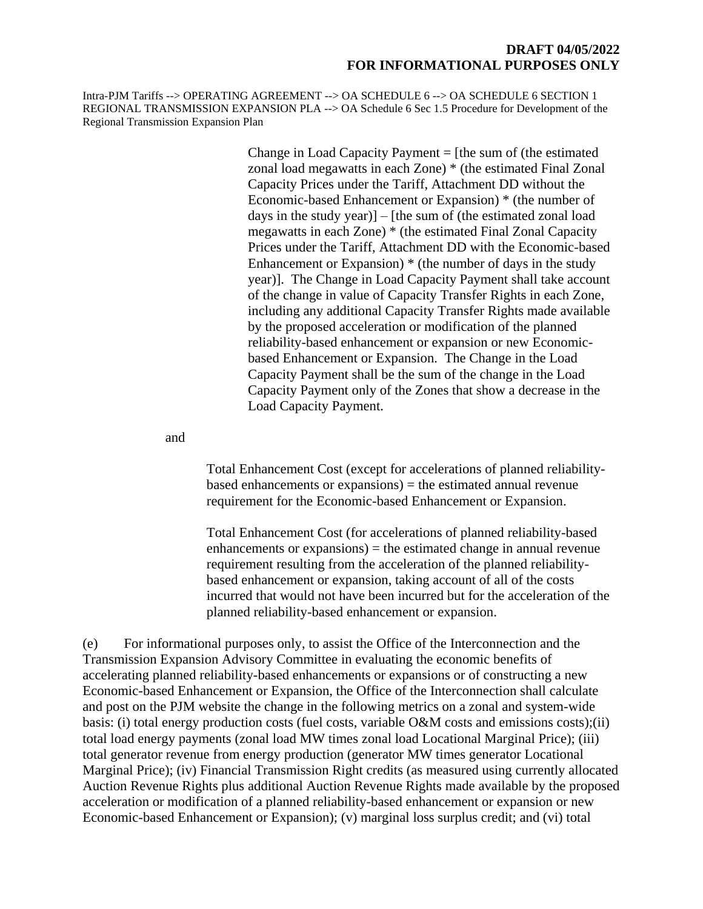Intra-PJM Tariffs --> OPERATING AGREEMENT --> OA SCHEDULE 6 --> OA SCHEDULE 6 SECTION 1 REGIONAL TRANSMISSION EXPANSION PLA --> OA Schedule 6 Sec 1.5 Procedure for Development of the Regional Transmission Expansion Plan

> Change in Load Capacity Payment  $=$  [the sum of (the estimated zonal load megawatts in each Zone) \* (the estimated Final Zonal Capacity Prices under the Tariff, Attachment DD without the Economic-based Enhancement or Expansion) \* (the number of days in the study year)] – [the sum of (the estimated zonal load megawatts in each Zone) \* (the estimated Final Zonal Capacity Prices under the Tariff, Attachment DD with the Economic-based Enhancement or Expansion)  $*$  (the number of days in the study year)]. The Change in Load Capacity Payment shall take account of the change in value of Capacity Transfer Rights in each Zone, including any additional Capacity Transfer Rights made available by the proposed acceleration or modification of the planned reliability-based enhancement or expansion or new Economicbased Enhancement or Expansion. The Change in the Load Capacity Payment shall be the sum of the change in the Load Capacity Payment only of the Zones that show a decrease in the Load Capacity Payment.

and

Total Enhancement Cost (except for accelerations of planned reliability $based enhancements or expansions) = the estimated annual revenue$ requirement for the Economic-based Enhancement or Expansion.

Total Enhancement Cost (for accelerations of planned reliability-based  $enhancements$  or  $expansions$ ) = the estimated change in annual revenue requirement resulting from the acceleration of the planned reliabilitybased enhancement or expansion, taking account of all of the costs incurred that would not have been incurred but for the acceleration of the planned reliability-based enhancement or expansion.

(e) For informational purposes only, to assist the Office of the Interconnection and the Transmission Expansion Advisory Committee in evaluating the economic benefits of accelerating planned reliability-based enhancements or expansions or of constructing a new Economic-based Enhancement or Expansion, the Office of the Interconnection shall calculate and post on the PJM website the change in the following metrics on a zonal and system-wide basis: (i) total energy production costs (fuel costs, variable O&M costs and emissions costs);(ii) total load energy payments (zonal load MW times zonal load Locational Marginal Price); (iii) total generator revenue from energy production (generator MW times generator Locational Marginal Price); (iv) Financial Transmission Right credits (as measured using currently allocated Auction Revenue Rights plus additional Auction Revenue Rights made available by the proposed acceleration or modification of a planned reliability-based enhancement or expansion or new Economic-based Enhancement or Expansion); (v) marginal loss surplus credit; and (vi) total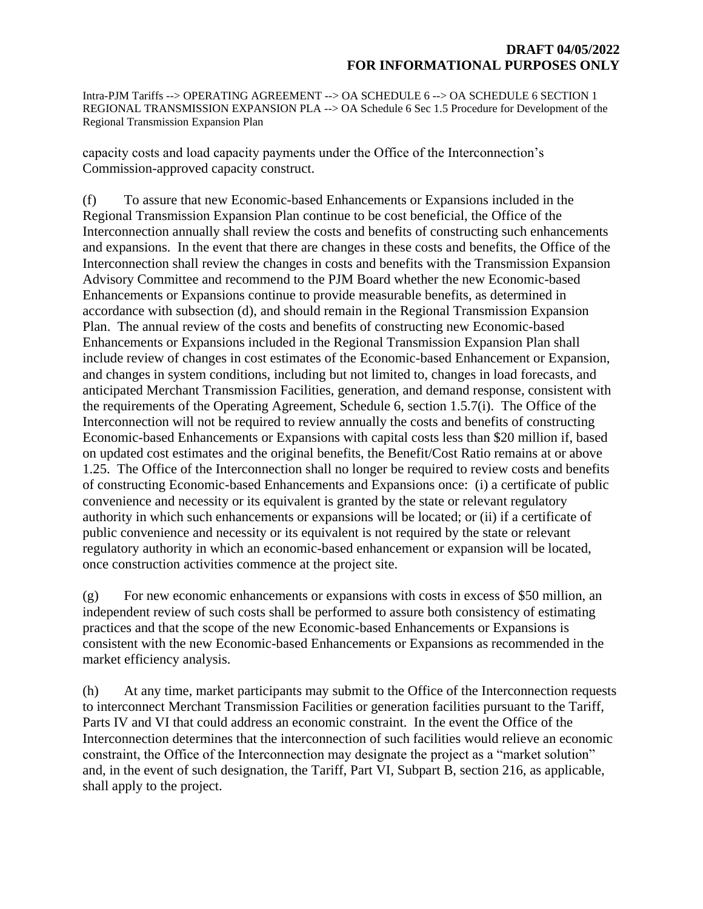capacity costs and load capacity payments under the Office of the Interconnection's Commission-approved capacity construct.

(f) To assure that new Economic-based Enhancements or Expansions included in the Regional Transmission Expansion Plan continue to be cost beneficial, the Office of the Interconnection annually shall review the costs and benefits of constructing such enhancements and expansions. In the event that there are changes in these costs and benefits, the Office of the Interconnection shall review the changes in costs and benefits with the Transmission Expansion Advisory Committee and recommend to the PJM Board whether the new Economic-based Enhancements or Expansions continue to provide measurable benefits, as determined in accordance with subsection (d), and should remain in the Regional Transmission Expansion Plan. The annual review of the costs and benefits of constructing new Economic-based Enhancements or Expansions included in the Regional Transmission Expansion Plan shall include review of changes in cost estimates of the Economic-based Enhancement or Expansion, and changes in system conditions, including but not limited to, changes in load forecasts, and anticipated Merchant Transmission Facilities, generation, and demand response, consistent with the requirements of the Operating Agreement, Schedule 6, section 1.5.7(i). The Office of the Interconnection will not be required to review annually the costs and benefits of constructing Economic-based Enhancements or Expansions with capital costs less than \$20 million if, based on updated cost estimates and the original benefits, the Benefit/Cost Ratio remains at or above 1.25. The Office of the Interconnection shall no longer be required to review costs and benefits of constructing Economic-based Enhancements and Expansions once: (i) a certificate of public convenience and necessity or its equivalent is granted by the state or relevant regulatory authority in which such enhancements or expansions will be located; or (ii) if a certificate of public convenience and necessity or its equivalent is not required by the state or relevant regulatory authority in which an economic-based enhancement or expansion will be located, once construction activities commence at the project site.

(g) For new economic enhancements or expansions with costs in excess of \$50 million, an independent review of such costs shall be performed to assure both consistency of estimating practices and that the scope of the new Economic-based Enhancements or Expansions is consistent with the new Economic-based Enhancements or Expansions as recommended in the market efficiency analysis.

(h) At any time, market participants may submit to the Office of the Interconnection requests to interconnect Merchant Transmission Facilities or generation facilities pursuant to the Tariff, Parts IV and VI that could address an economic constraint. In the event the Office of the Interconnection determines that the interconnection of such facilities would relieve an economic constraint, the Office of the Interconnection may designate the project as a "market solution" and, in the event of such designation, the Tariff, Part VI, Subpart B, section 216, as applicable, shall apply to the project.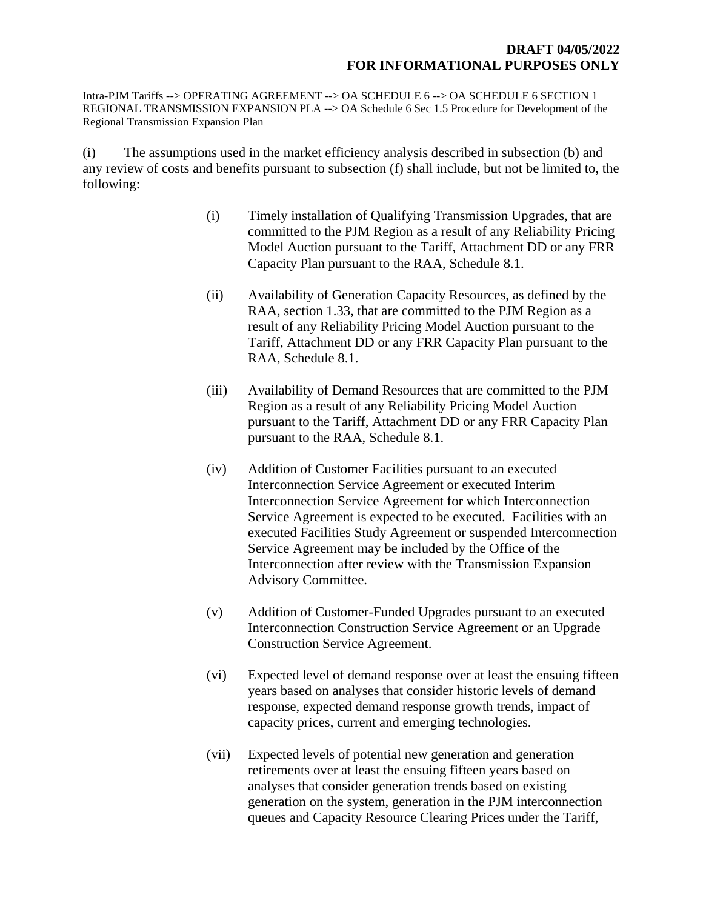(i) The assumptions used in the market efficiency analysis described in subsection (b) and any review of costs and benefits pursuant to subsection (f) shall include, but not be limited to, the following:

- (i) Timely installation of Qualifying Transmission Upgrades, that are committed to the PJM Region as a result of any Reliability Pricing Model Auction pursuant to the Tariff, Attachment DD or any FRR Capacity Plan pursuant to the RAA, Schedule 8.1.
- (ii) Availability of Generation Capacity Resources, as defined by the RAA, section 1.33, that are committed to the PJM Region as a result of any Reliability Pricing Model Auction pursuant to the Tariff, Attachment DD or any FRR Capacity Plan pursuant to the RAA, Schedule 8.1.
- (iii) Availability of Demand Resources that are committed to the PJM Region as a result of any Reliability Pricing Model Auction pursuant to the Tariff, Attachment DD or any FRR Capacity Plan pursuant to the RAA, Schedule 8.1.
- (iv) Addition of Customer Facilities pursuant to an executed Interconnection Service Agreement or executed Interim Interconnection Service Agreement for which Interconnection Service Agreement is expected to be executed. Facilities with an executed Facilities Study Agreement or suspended Interconnection Service Agreement may be included by the Office of the Interconnection after review with the Transmission Expansion Advisory Committee.
- (v) Addition of Customer-Funded Upgrades pursuant to an executed Interconnection Construction Service Agreement or an Upgrade Construction Service Agreement.
- (vi) Expected level of demand response over at least the ensuing fifteen years based on analyses that consider historic levels of demand response, expected demand response growth trends, impact of capacity prices, current and emerging technologies.
- (vii) Expected levels of potential new generation and generation retirements over at least the ensuing fifteen years based on analyses that consider generation trends based on existing generation on the system, generation in the PJM interconnection queues and Capacity Resource Clearing Prices under the Tariff,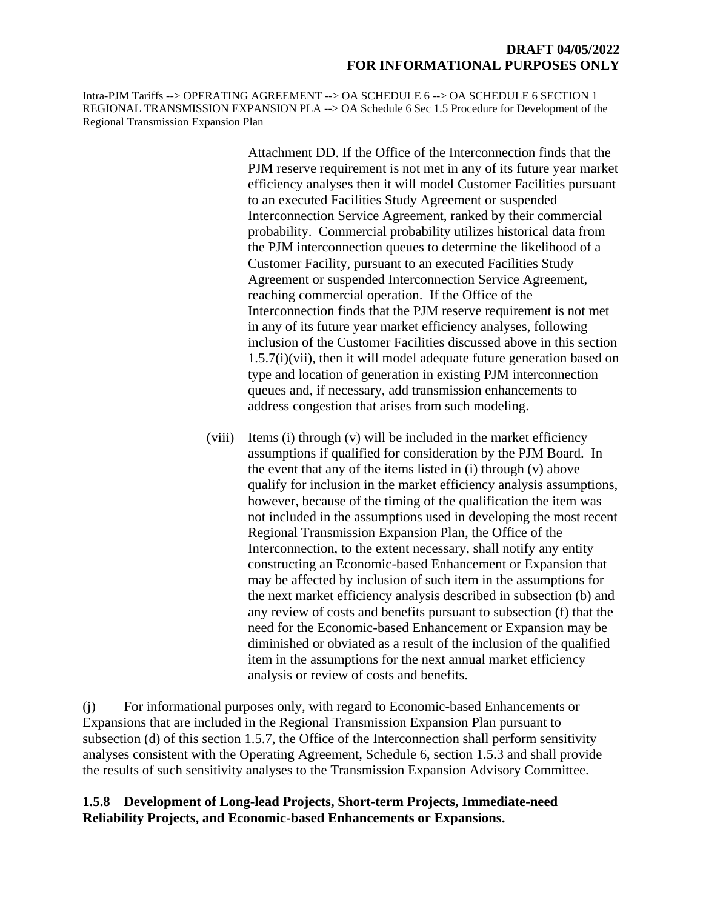Intra-PJM Tariffs --> OPERATING AGREEMENT --> OA SCHEDULE 6 --> OA SCHEDULE 6 SECTION 1 REGIONAL TRANSMISSION EXPANSION PLA --> OA Schedule 6 Sec 1.5 Procedure for Development of the Regional Transmission Expansion Plan

> Attachment DD. If the Office of the Interconnection finds that the PJM reserve requirement is not met in any of its future year market efficiency analyses then it will model Customer Facilities pursuant to an executed Facilities Study Agreement or suspended Interconnection Service Agreement, ranked by their commercial probability. Commercial probability utilizes historical data from the PJM interconnection queues to determine the likelihood of a Customer Facility, pursuant to an executed Facilities Study Agreement or suspended Interconnection Service Agreement, reaching commercial operation. If the Office of the Interconnection finds that the PJM reserve requirement is not met in any of its future year market efficiency analyses, following inclusion of the Customer Facilities discussed above in this section  $1.5.7(i)(vii)$ , then it will model adequate future generation based on type and location of generation in existing PJM interconnection queues and, if necessary, add transmission enhancements to address congestion that arises from such modeling.

(viii) Items (i) through (v) will be included in the market efficiency assumptions if qualified for consideration by the PJM Board. In the event that any of the items listed in (i) through (v) above qualify for inclusion in the market efficiency analysis assumptions, however, because of the timing of the qualification the item was not included in the assumptions used in developing the most recent Regional Transmission Expansion Plan, the Office of the Interconnection, to the extent necessary, shall notify any entity constructing an Economic-based Enhancement or Expansion that may be affected by inclusion of such item in the assumptions for the next market efficiency analysis described in subsection (b) and any review of costs and benefits pursuant to subsection (f) that the need for the Economic-based Enhancement or Expansion may be diminished or obviated as a result of the inclusion of the qualified item in the assumptions for the next annual market efficiency analysis or review of costs and benefits.

(j) For informational purposes only, with regard to Economic-based Enhancements or Expansions that are included in the Regional Transmission Expansion Plan pursuant to subsection (d) of this section 1.5.7, the Office of the Interconnection shall perform sensitivity analyses consistent with the Operating Agreement, Schedule 6, section 1.5.3 and shall provide the results of such sensitivity analyses to the Transmission Expansion Advisory Committee.

## **1.5.8 Development of Long-lead Projects, Short-term Projects, Immediate-need Reliability Projects, and Economic-based Enhancements or Expansions.**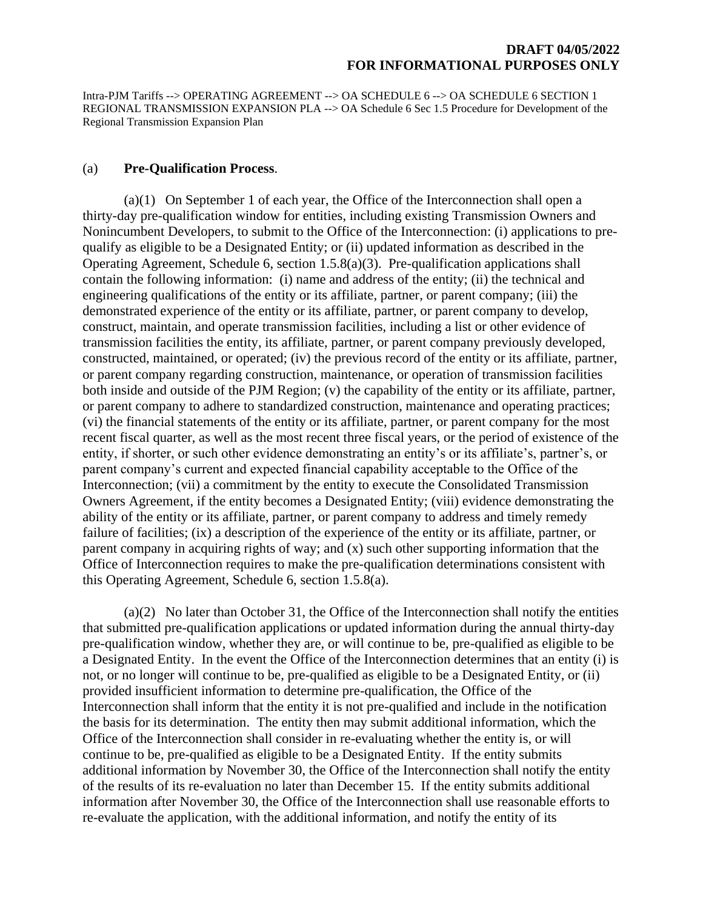#### (a) **Pre-Qualification Process**.

(a)(1) On September 1 of each year, the Office of the Interconnection shall open a thirty-day pre-qualification window for entities, including existing Transmission Owners and Nonincumbent Developers, to submit to the Office of the Interconnection: (i) applications to prequalify as eligible to be a Designated Entity; or (ii) updated information as described in the Operating Agreement, Schedule 6, section 1.5.8(a)(3). Pre-qualification applications shall contain the following information: (i) name and address of the entity; (ii) the technical and engineering qualifications of the entity or its affiliate, partner, or parent company; (iii) the demonstrated experience of the entity or its affiliate, partner, or parent company to develop, construct, maintain, and operate transmission facilities, including a list or other evidence of transmission facilities the entity, its affiliate, partner, or parent company previously developed, constructed, maintained, or operated; (iv) the previous record of the entity or its affiliate, partner, or parent company regarding construction, maintenance, or operation of transmission facilities both inside and outside of the PJM Region; (v) the capability of the entity or its affiliate, partner, or parent company to adhere to standardized construction, maintenance and operating practices; (vi) the financial statements of the entity or its affiliate, partner, or parent company for the most recent fiscal quarter, as well as the most recent three fiscal years, or the period of existence of the entity, if shorter, or such other evidence demonstrating an entity's or its affiliate's, partner's, or parent company's current and expected financial capability acceptable to the Office of the Interconnection; (vii) a commitment by the entity to execute the Consolidated Transmission Owners Agreement, if the entity becomes a Designated Entity; (viii) evidence demonstrating the ability of the entity or its affiliate, partner, or parent company to address and timely remedy failure of facilities; (ix) a description of the experience of the entity or its affiliate, partner, or parent company in acquiring rights of way; and (x) such other supporting information that the Office of Interconnection requires to make the pre-qualification determinations consistent with this Operating Agreement, Schedule 6, section 1.5.8(a).

(a)(2) No later than October 31, the Office of the Interconnection shall notify the entities that submitted pre-qualification applications or updated information during the annual thirty-day pre-qualification window, whether they are, or will continue to be, pre-qualified as eligible to be a Designated Entity. In the event the Office of the Interconnection determines that an entity (i) is not, or no longer will continue to be, pre-qualified as eligible to be a Designated Entity, or (ii) provided insufficient information to determine pre-qualification, the Office of the Interconnection shall inform that the entity it is not pre-qualified and include in the notification the basis for its determination. The entity then may submit additional information, which the Office of the Interconnection shall consider in re-evaluating whether the entity is, or will continue to be, pre-qualified as eligible to be a Designated Entity. If the entity submits additional information by November 30, the Office of the Interconnection shall notify the entity of the results of its re-evaluation no later than December 15. If the entity submits additional information after November 30, the Office of the Interconnection shall use reasonable efforts to re-evaluate the application, with the additional information, and notify the entity of its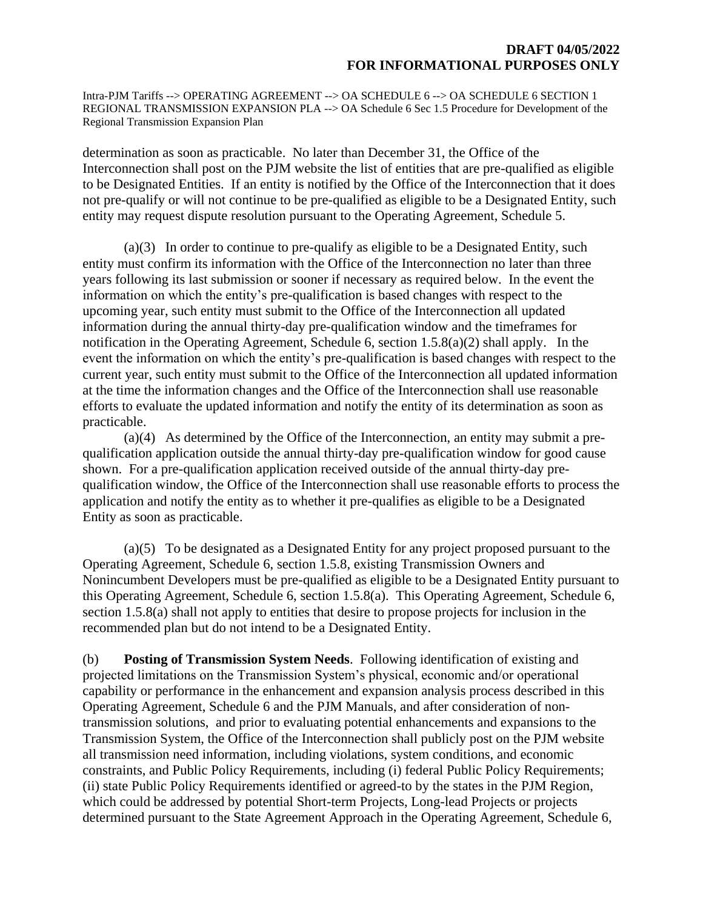determination as soon as practicable. No later than December 31, the Office of the Interconnection shall post on the PJM website the list of entities that are pre-qualified as eligible to be Designated Entities. If an entity is notified by the Office of the Interconnection that it does not pre-qualify or will not continue to be pre-qualified as eligible to be a Designated Entity, such entity may request dispute resolution pursuant to the Operating Agreement, Schedule 5.

(a)(3) In order to continue to pre-qualify as eligible to be a Designated Entity, such entity must confirm its information with the Office of the Interconnection no later than three years following its last submission or sooner if necessary as required below. In the event the information on which the entity's pre-qualification is based changes with respect to the upcoming year, such entity must submit to the Office of the Interconnection all updated information during the annual thirty-day pre-qualification window and the timeframes for notification in the Operating Agreement, Schedule 6, section 1.5.8(a)(2) shall apply. In the event the information on which the entity's pre-qualification is based changes with respect to the current year, such entity must submit to the Office of the Interconnection all updated information at the time the information changes and the Office of the Interconnection shall use reasonable efforts to evaluate the updated information and notify the entity of its determination as soon as practicable.

(a)(4) As determined by the Office of the Interconnection, an entity may submit a prequalification application outside the annual thirty-day pre-qualification window for good cause shown. For a pre-qualification application received outside of the annual thirty-day prequalification window, the Office of the Interconnection shall use reasonable efforts to process the application and notify the entity as to whether it pre-qualifies as eligible to be a Designated Entity as soon as practicable.

(a)(5) To be designated as a Designated Entity for any project proposed pursuant to the Operating Agreement, Schedule 6, section 1.5.8, existing Transmission Owners and Nonincumbent Developers must be pre-qualified as eligible to be a Designated Entity pursuant to this Operating Agreement, Schedule 6, section 1.5.8(a). This Operating Agreement, Schedule 6, section 1.5.8(a) shall not apply to entities that desire to propose projects for inclusion in the recommended plan but do not intend to be a Designated Entity.

(b) **Posting of Transmission System Needs**. Following identification of existing and projected limitations on the Transmission System's physical, economic and/or operational capability or performance in the enhancement and expansion analysis process described in this Operating Agreement, Schedule 6 and the PJM Manuals, and after consideration of nontransmission solutions, and prior to evaluating potential enhancements and expansions to the Transmission System, the Office of the Interconnection shall publicly post on the PJM website all transmission need information, including violations, system conditions, and economic constraints, and Public Policy Requirements, including (i) federal Public Policy Requirements; (ii) state Public Policy Requirements identified or agreed-to by the states in the PJM Region, which could be addressed by potential Short-term Projects, Long-lead Projects or projects determined pursuant to the State Agreement Approach in the Operating Agreement, Schedule 6,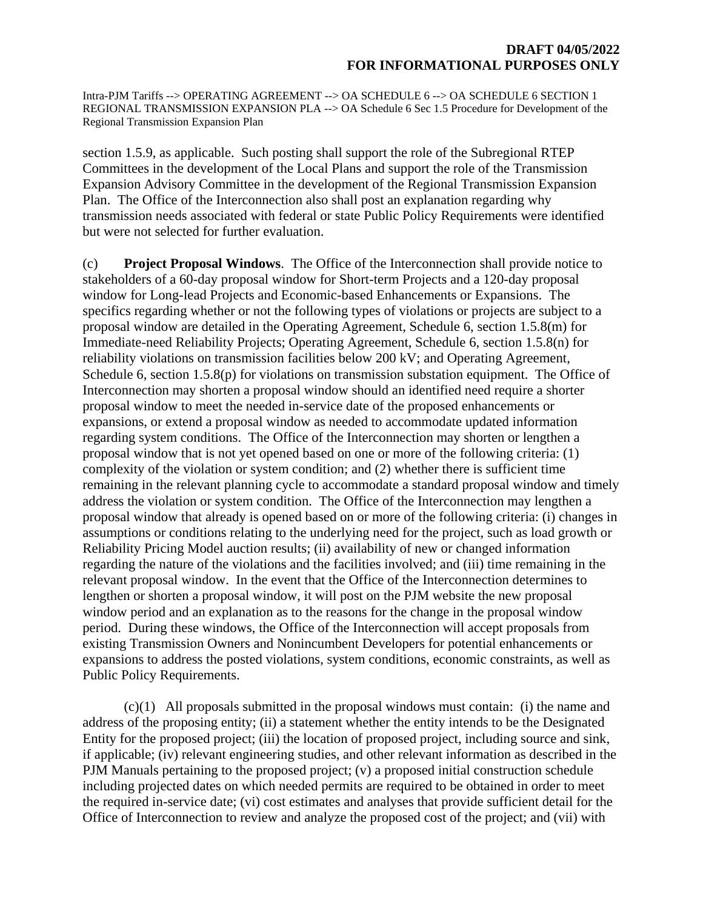section 1.5.9, as applicable. Such posting shall support the role of the Subregional RTEP Committees in the development of the Local Plans and support the role of the Transmission Expansion Advisory Committee in the development of the Regional Transmission Expansion Plan. The Office of the Interconnection also shall post an explanation regarding why transmission needs associated with federal or state Public Policy Requirements were identified but were not selected for further evaluation.

(c) **Project Proposal Windows**. The Office of the Interconnection shall provide notice to stakeholders of a 60-day proposal window for Short-term Projects and a 120-day proposal window for Long-lead Projects and Economic-based Enhancements or Expansions. The specifics regarding whether or not the following types of violations or projects are subject to a proposal window are detailed in the Operating Agreement, Schedule 6, section 1.5.8(m) for Immediate-need Reliability Projects; Operating Agreement, Schedule 6, section 1.5.8(n) for reliability violations on transmission facilities below 200 kV; and Operating Agreement, Schedule 6, section 1.5.8(p) for violations on transmission substation equipment. The Office of Interconnection may shorten a proposal window should an identified need require a shorter proposal window to meet the needed in-service date of the proposed enhancements or expansions, or extend a proposal window as needed to accommodate updated information regarding system conditions. The Office of the Interconnection may shorten or lengthen a proposal window that is not yet opened based on one or more of the following criteria: (1) complexity of the violation or system condition; and (2) whether there is sufficient time remaining in the relevant planning cycle to accommodate a standard proposal window and timely address the violation or system condition. The Office of the Interconnection may lengthen a proposal window that already is opened based on or more of the following criteria: (i) changes in assumptions or conditions relating to the underlying need for the project, such as load growth or Reliability Pricing Model auction results; (ii) availability of new or changed information regarding the nature of the violations and the facilities involved; and (iii) time remaining in the relevant proposal window. In the event that the Office of the Interconnection determines to lengthen or shorten a proposal window, it will post on the PJM website the new proposal window period and an explanation as to the reasons for the change in the proposal window period. During these windows, the Office of the Interconnection will accept proposals from existing Transmission Owners and Nonincumbent Developers for potential enhancements or expansions to address the posted violations, system conditions, economic constraints, as well as Public Policy Requirements.

(c)(1) All proposals submitted in the proposal windows must contain: (i) the name and address of the proposing entity; (ii) a statement whether the entity intends to be the Designated Entity for the proposed project; (iii) the location of proposed project, including source and sink, if applicable; (iv) relevant engineering studies, and other relevant information as described in the PJM Manuals pertaining to the proposed project; (v) a proposed initial construction schedule including projected dates on which needed permits are required to be obtained in order to meet the required in-service date; (vi) cost estimates and analyses that provide sufficient detail for the Office of Interconnection to review and analyze the proposed cost of the project; and (vii) with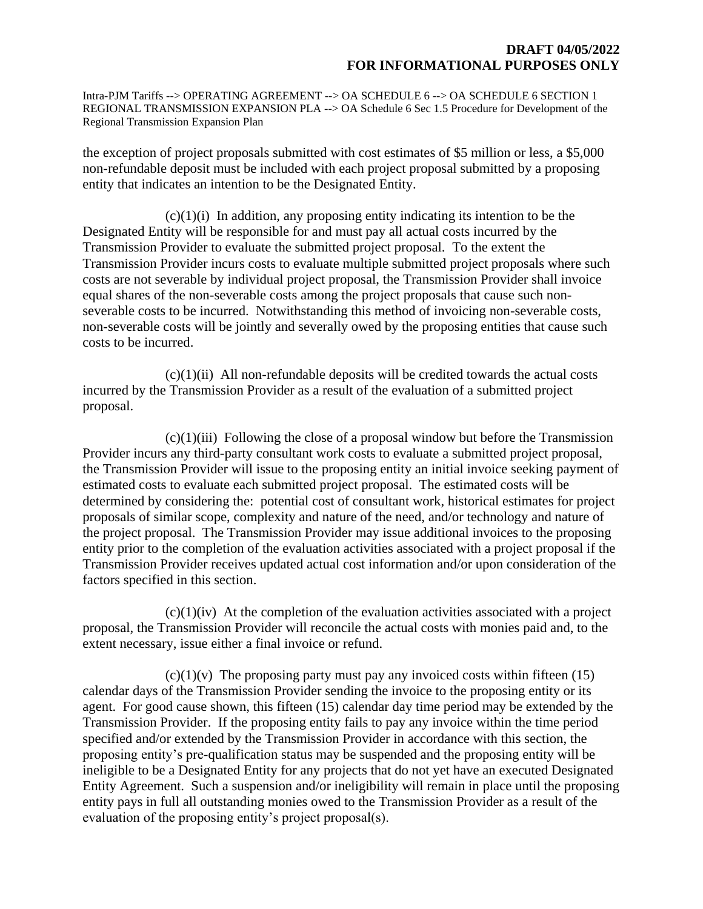the exception of project proposals submitted with cost estimates of \$5 million or less, a \$5,000 non-refundable deposit must be included with each project proposal submitted by a proposing entity that indicates an intention to be the Designated Entity.

 $(c)(1)(i)$  In addition, any proposing entity indicating its intention to be the Designated Entity will be responsible for and must pay all actual costs incurred by the Transmission Provider to evaluate the submitted project proposal. To the extent the Transmission Provider incurs costs to evaluate multiple submitted project proposals where such costs are not severable by individual project proposal, the Transmission Provider shall invoice equal shares of the non-severable costs among the project proposals that cause such nonseverable costs to be incurred. Notwithstanding this method of invoicing non-severable costs, non-severable costs will be jointly and severally owed by the proposing entities that cause such costs to be incurred.

 $(c)(1)(ii)$  All non-refundable deposits will be credited towards the actual costs incurred by the Transmission Provider as a result of the evaluation of a submitted project proposal.

 $(c)(1)(iii)$  Following the close of a proposal window but before the Transmission Provider incurs any third-party consultant work costs to evaluate a submitted project proposal, the Transmission Provider will issue to the proposing entity an initial invoice seeking payment of estimated costs to evaluate each submitted project proposal. The estimated costs will be determined by considering the: potential cost of consultant work, historical estimates for project proposals of similar scope, complexity and nature of the need, and/or technology and nature of the project proposal. The Transmission Provider may issue additional invoices to the proposing entity prior to the completion of the evaluation activities associated with a project proposal if the Transmission Provider receives updated actual cost information and/or upon consideration of the factors specified in this section.

 $(c)(1)(iv)$  At the completion of the evaluation activities associated with a project proposal, the Transmission Provider will reconcile the actual costs with monies paid and, to the extent necessary, issue either a final invoice or refund.

 $(c)(1)(v)$  The proposing party must pay any invoiced costs within fifteen (15) calendar days of the Transmission Provider sending the invoice to the proposing entity or its agent. For good cause shown, this fifteen (15) calendar day time period may be extended by the Transmission Provider. If the proposing entity fails to pay any invoice within the time period specified and/or extended by the Transmission Provider in accordance with this section, the proposing entity's pre-qualification status may be suspended and the proposing entity will be ineligible to be a Designated Entity for any projects that do not yet have an executed Designated Entity Agreement. Such a suspension and/or ineligibility will remain in place until the proposing entity pays in full all outstanding monies owed to the Transmission Provider as a result of the evaluation of the proposing entity's project proposal(s).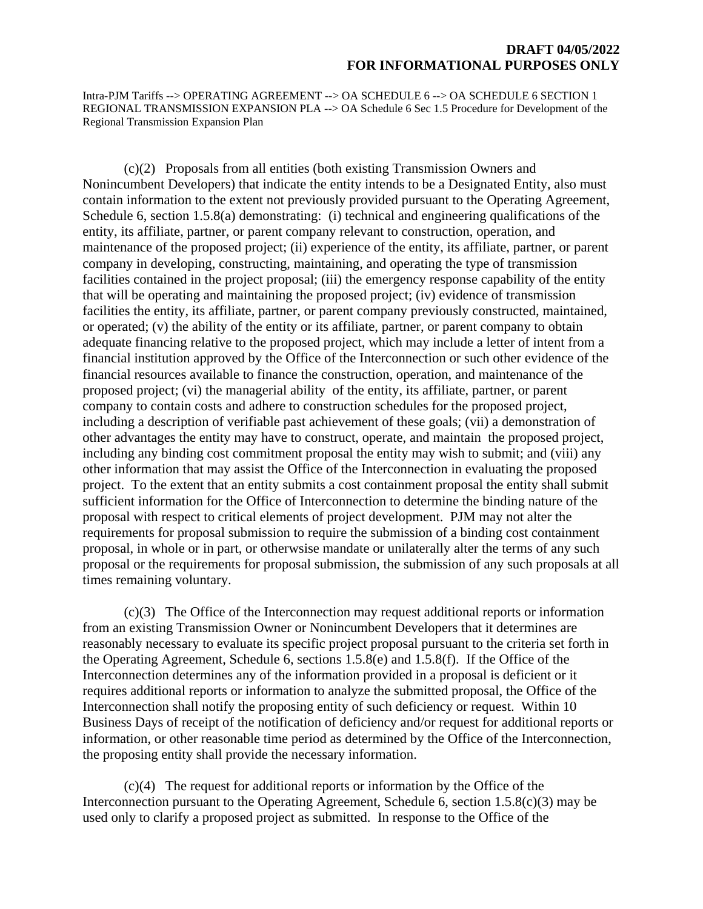(c)(2) Proposals from all entities (both existing Transmission Owners and Nonincumbent Developers) that indicate the entity intends to be a Designated Entity, also must contain information to the extent not previously provided pursuant to the Operating Agreement, Schedule 6, section 1.5.8(a) demonstrating: (i) technical and engineering qualifications of the entity, its affiliate, partner, or parent company relevant to construction, operation, and maintenance of the proposed project; (ii) experience of the entity, its affiliate, partner, or parent company in developing, constructing, maintaining, and operating the type of transmission facilities contained in the project proposal; (iii) the emergency response capability of the entity that will be operating and maintaining the proposed project; (iv) evidence of transmission facilities the entity, its affiliate, partner, or parent company previously constructed, maintained, or operated; (v) the ability of the entity or its affiliate, partner, or parent company to obtain adequate financing relative to the proposed project, which may include a letter of intent from a financial institution approved by the Office of the Interconnection or such other evidence of the financial resources available to finance the construction, operation, and maintenance of the proposed project; (vi) the managerial ability of the entity, its affiliate, partner, or parent company to contain costs and adhere to construction schedules for the proposed project, including a description of verifiable past achievement of these goals; (vii) a demonstration of other advantages the entity may have to construct, operate, and maintain the proposed project, including any binding cost commitment proposal the entity may wish to submit; and (viii) any other information that may assist the Office of the Interconnection in evaluating the proposed project. To the extent that an entity submits a cost containment proposal the entity shall submit sufficient information for the Office of Interconnection to determine the binding nature of the proposal with respect to critical elements of project development. PJM may not alter the requirements for proposal submission to require the submission of a binding cost containment proposal, in whole or in part, or otherwsise mandate or unilaterally alter the terms of any such proposal or the requirements for proposal submission, the submission of any such proposals at all times remaining voluntary.

(c)(3) The Office of the Interconnection may request additional reports or information from an existing Transmission Owner or Nonincumbent Developers that it determines are reasonably necessary to evaluate its specific project proposal pursuant to the criteria set forth in the Operating Agreement, Schedule 6, sections 1.5.8(e) and 1.5.8(f). If the Office of the Interconnection determines any of the information provided in a proposal is deficient or it requires additional reports or information to analyze the submitted proposal, the Office of the Interconnection shall notify the proposing entity of such deficiency or request. Within 10 Business Days of receipt of the notification of deficiency and/or request for additional reports or information, or other reasonable time period as determined by the Office of the Interconnection, the proposing entity shall provide the necessary information.

(c)(4) The request for additional reports or information by the Office of the Interconnection pursuant to the Operating Agreement, Schedule 6, section 1.5.8(c)(3) may be used only to clarify a proposed project as submitted. In response to the Office of the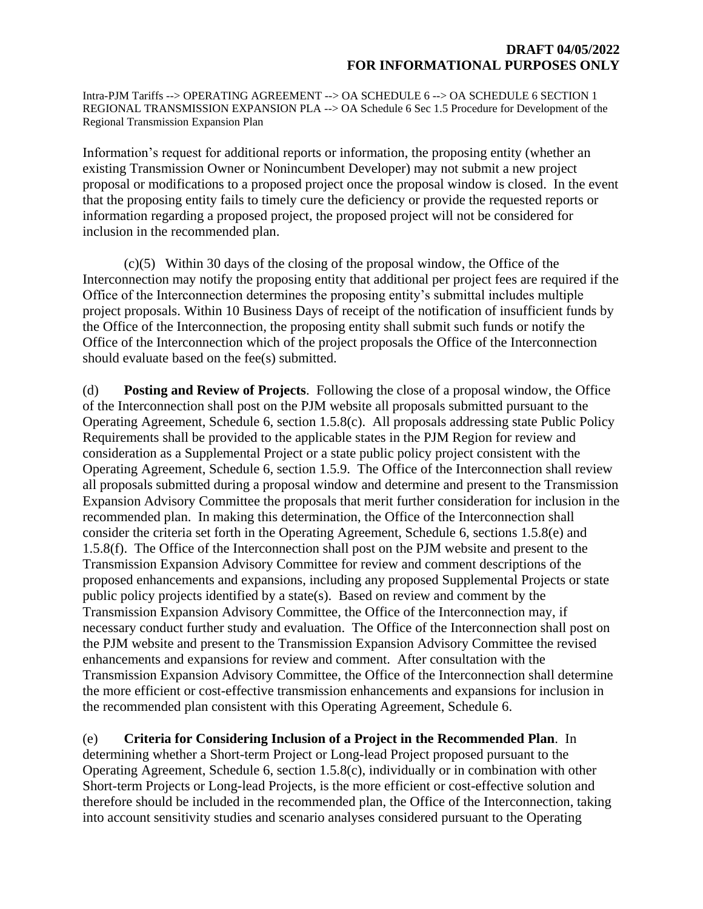Information's request for additional reports or information, the proposing entity (whether an existing Transmission Owner or Nonincumbent Developer) may not submit a new project proposal or modifications to a proposed project once the proposal window is closed. In the event that the proposing entity fails to timely cure the deficiency or provide the requested reports or information regarding a proposed project, the proposed project will not be considered for inclusion in the recommended plan.

(c)(5) Within 30 days of the closing of the proposal window, the Office of the Interconnection may notify the proposing entity that additional per project fees are required if the Office of the Interconnection determines the proposing entity's submittal includes multiple project proposals. Within 10 Business Days of receipt of the notification of insufficient funds by the Office of the Interconnection, the proposing entity shall submit such funds or notify the Office of the Interconnection which of the project proposals the Office of the Interconnection should evaluate based on the fee(s) submitted.

(d) **Posting and Review of Projects**. Following the close of a proposal window, the Office of the Interconnection shall post on the PJM website all proposals submitted pursuant to the Operating Agreement, Schedule 6, section 1.5.8(c). All proposals addressing state Public Policy Requirements shall be provided to the applicable states in the PJM Region for review and consideration as a Supplemental Project or a state public policy project consistent with the Operating Agreement, Schedule 6, section 1.5.9. The Office of the Interconnection shall review all proposals submitted during a proposal window and determine and present to the Transmission Expansion Advisory Committee the proposals that merit further consideration for inclusion in the recommended plan. In making this determination, the Office of the Interconnection shall consider the criteria set forth in the Operating Agreement, Schedule 6, sections 1.5.8(e) and 1.5.8(f). The Office of the Interconnection shall post on the PJM website and present to the Transmission Expansion Advisory Committee for review and comment descriptions of the proposed enhancements and expansions, including any proposed Supplemental Projects or state public policy projects identified by a state(s). Based on review and comment by the Transmission Expansion Advisory Committee, the Office of the Interconnection may, if necessary conduct further study and evaluation. The Office of the Interconnection shall post on the PJM website and present to the Transmission Expansion Advisory Committee the revised enhancements and expansions for review and comment. After consultation with the Transmission Expansion Advisory Committee, the Office of the Interconnection shall determine the more efficient or cost-effective transmission enhancements and expansions for inclusion in the recommended plan consistent with this Operating Agreement, Schedule 6.

(e) **Criteria for Considering Inclusion of a Project in the Recommended Plan**. In determining whether a Short-term Project or Long-lead Project proposed pursuant to the Operating Agreement, Schedule 6, section 1.5.8(c), individually or in combination with other Short-term Projects or Long-lead Projects, is the more efficient or cost-effective solution and therefore should be included in the recommended plan, the Office of the Interconnection, taking into account sensitivity studies and scenario analyses considered pursuant to the Operating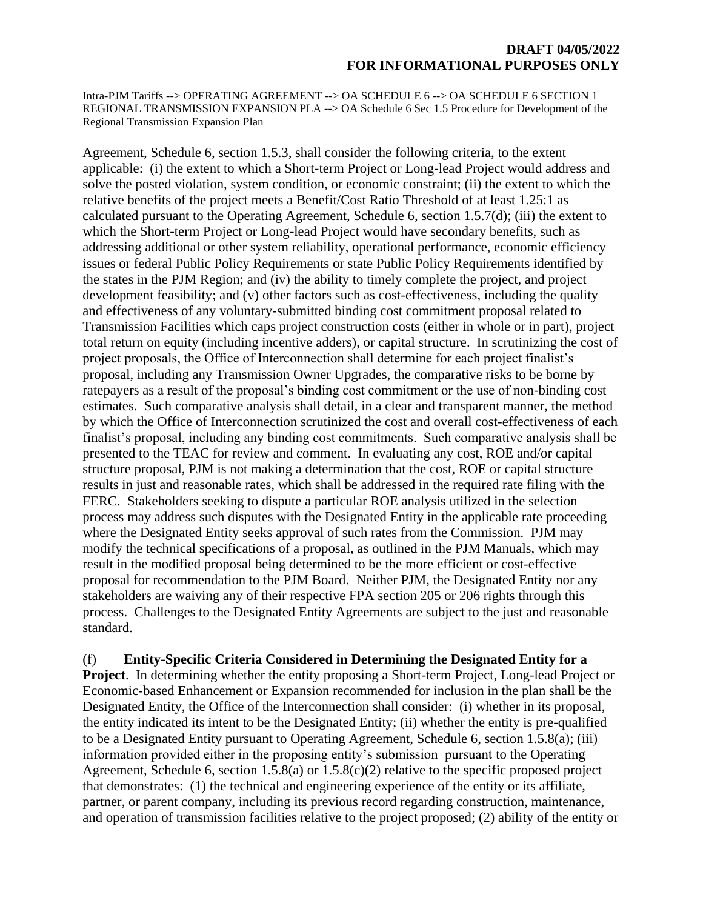Intra-PJM Tariffs --> OPERATING AGREEMENT --> OA SCHEDULE 6 --> OA SCHEDULE 6 SECTION 1 REGIONAL TRANSMISSION EXPANSION PLA --> OA Schedule 6 Sec 1.5 Procedure for Development of the Regional Transmission Expansion Plan

Agreement, Schedule 6, section 1.5.3, shall consider the following criteria, to the extent applicable: (i) the extent to which a Short-term Project or Long-lead Project would address and solve the posted violation, system condition, or economic constraint; (ii) the extent to which the relative benefits of the project meets a Benefit/Cost Ratio Threshold of at least 1.25:1 as calculated pursuant to the Operating Agreement, Schedule 6, section 1.5.7(d); (iii) the extent to which the Short-term Project or Long-lead Project would have secondary benefits, such as addressing additional or other system reliability, operational performance, economic efficiency issues or federal Public Policy Requirements or state Public Policy Requirements identified by the states in the PJM Region; and (iv) the ability to timely complete the project, and project development feasibility; and (v) other factors such as cost-effectiveness, including the quality and effectiveness of any voluntary-submitted binding cost commitment proposal related to Transmission Facilities which caps project construction costs (either in whole or in part), project total return on equity (including incentive adders), or capital structure. In scrutinizing the cost of project proposals, the Office of Interconnection shall determine for each project finalist's proposal, including any Transmission Owner Upgrades, the comparative risks to be borne by ratepayers as a result of the proposal's binding cost commitment or the use of non-binding cost estimates. Such comparative analysis shall detail, in a clear and transparent manner, the method by which the Office of Interconnection scrutinized the cost and overall cost-effectiveness of each finalist's proposal, including any binding cost commitments. Such comparative analysis shall be presented to the TEAC for review and comment. In evaluating any cost, ROE and/or capital structure proposal, PJM is not making a determination that the cost, ROE or capital structure results in just and reasonable rates, which shall be addressed in the required rate filing with the FERC. Stakeholders seeking to dispute a particular ROE analysis utilized in the selection process may address such disputes with the Designated Entity in the applicable rate proceeding where the Designated Entity seeks approval of such rates from the Commission. PJM may modify the technical specifications of a proposal, as outlined in the PJM Manuals, which may result in the modified proposal being determined to be the more efficient or cost-effective proposal for recommendation to the PJM Board. Neither PJM, the Designated Entity nor any stakeholders are waiving any of their respective FPA section 205 or 206 rights through this process. Challenges to the Designated Entity Agreements are subject to the just and reasonable standard.

(f) **Entity-Specific Criteria Considered in Determining the Designated Entity for a Project**. In determining whether the entity proposing a Short-term Project, Long-lead Project or Economic-based Enhancement or Expansion recommended for inclusion in the plan shall be the Designated Entity, the Office of the Interconnection shall consider: (i) whether in its proposal, the entity indicated its intent to be the Designated Entity; (ii) whether the entity is pre-qualified to be a Designated Entity pursuant to Operating Agreement, Schedule 6, section 1.5.8(a); (iii) information provided either in the proposing entity's submission pursuant to the Operating Agreement, Schedule 6, section 1.5.8(a) or 1.5.8(c)(2) relative to the specific proposed project that demonstrates: (1) the technical and engineering experience of the entity or its affiliate, partner, or parent company, including its previous record regarding construction, maintenance, and operation of transmission facilities relative to the project proposed; (2) ability of the entity or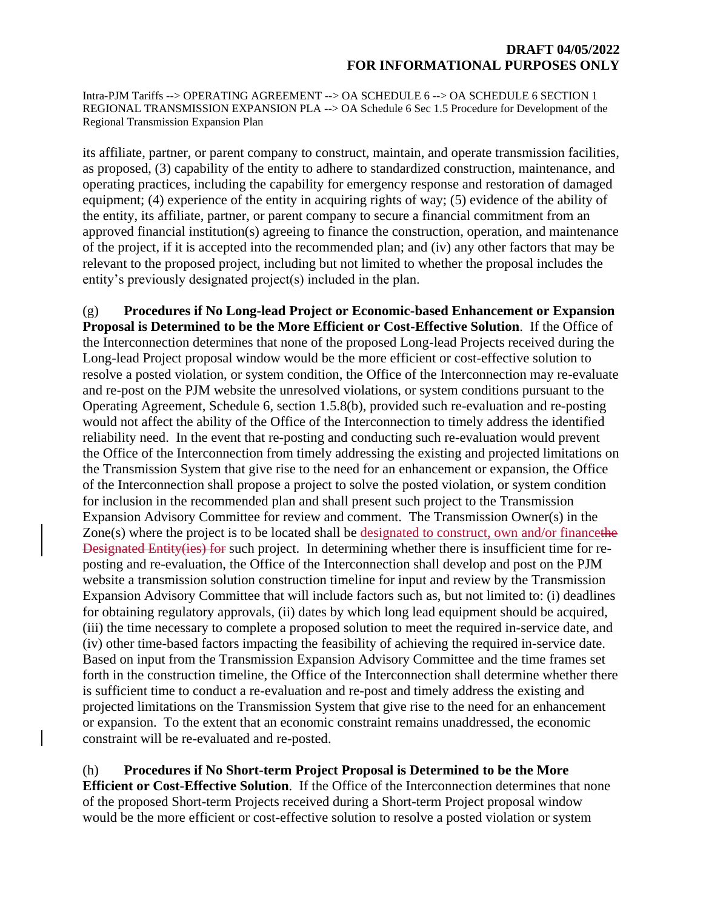Intra-PJM Tariffs --> OPERATING AGREEMENT --> OA SCHEDULE 6 --> OA SCHEDULE 6 SECTION 1 REGIONAL TRANSMISSION EXPANSION PLA --> OA Schedule 6 Sec 1.5 Procedure for Development of the Regional Transmission Expansion Plan

its affiliate, partner, or parent company to construct, maintain, and operate transmission facilities, as proposed, (3) capability of the entity to adhere to standardized construction, maintenance, and operating practices, including the capability for emergency response and restoration of damaged equipment; (4) experience of the entity in acquiring rights of way; (5) evidence of the ability of the entity, its affiliate, partner, or parent company to secure a financial commitment from an approved financial institution(s) agreeing to finance the construction, operation, and maintenance of the project, if it is accepted into the recommended plan; and (iv) any other factors that may be relevant to the proposed project, including but not limited to whether the proposal includes the entity's previously designated project(s) included in the plan.

(g) **Procedures if No Long-lead Project or Economic-based Enhancement or Expansion Proposal is Determined to be the More Efficient or Cost-Effective Solution**. If the Office of the Interconnection determines that none of the proposed Long-lead Projects received during the Long-lead Project proposal window would be the more efficient or cost-effective solution to resolve a posted violation, or system condition, the Office of the Interconnection may re-evaluate and re-post on the PJM website the unresolved violations, or system conditions pursuant to the Operating Agreement, Schedule 6, section 1.5.8(b), provided such re-evaluation and re-posting would not affect the ability of the Office of the Interconnection to timely address the identified reliability need. In the event that re-posting and conducting such re-evaluation would prevent the Office of the Interconnection from timely addressing the existing and projected limitations on the Transmission System that give rise to the need for an enhancement or expansion, the Office of the Interconnection shall propose a project to solve the posted violation, or system condition for inclusion in the recommended plan and shall present such project to the Transmission Expansion Advisory Committee for review and comment. The Transmission Owner(s) in the Zone(s) where the project is to be located shall be designated to construct, own and/or finance the Designated Entity(ies) for such project. In determining whether there is insufficient time for reposting and re-evaluation, the Office of the Interconnection shall develop and post on the PJM website a transmission solution construction timeline for input and review by the Transmission Expansion Advisory Committee that will include factors such as, but not limited to: (i) deadlines for obtaining regulatory approvals, (ii) dates by which long lead equipment should be acquired, (iii) the time necessary to complete a proposed solution to meet the required in-service date, and (iv) other time-based factors impacting the feasibility of achieving the required in-service date. Based on input from the Transmission Expansion Advisory Committee and the time frames set forth in the construction timeline, the Office of the Interconnection shall determine whether there is sufficient time to conduct a re-evaluation and re-post and timely address the existing and projected limitations on the Transmission System that give rise to the need for an enhancement or expansion. To the extent that an economic constraint remains unaddressed, the economic constraint will be re-evaluated and re-posted.

(h) **Procedures if No Short-term Project Proposal is Determined to be the More Efficient or Cost-Effective Solution**. If the Office of the Interconnection determines that none of the proposed Short-term Projects received during a Short-term Project proposal window would be the more efficient or cost-effective solution to resolve a posted violation or system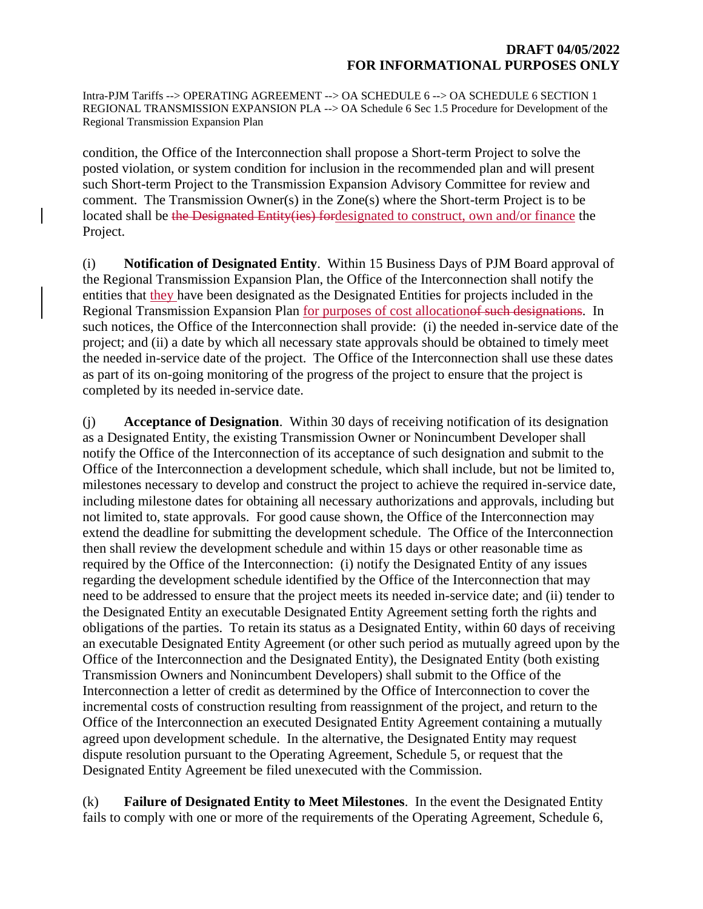condition, the Office of the Interconnection shall propose a Short-term Project to solve the posted violation, or system condition for inclusion in the recommended plan and will present such Short-term Project to the Transmission Expansion Advisory Committee for review and comment. The Transmission Owner(s) in the Zone(s) where the Short-term Project is to be located shall be the Designated Entity(ies) for designated to construct, own and/or finance the Project.

(i) **Notification of Designated Entity**. Within 15 Business Days of PJM Board approval of the Regional Transmission Expansion Plan, the Office of the Interconnection shall notify the entities that they have been designated as the Designated Entities for projects included in the Regional Transmission Expansion Plan for purposes of cost allocationof such designations. In such notices, the Office of the Interconnection shall provide: (i) the needed in-service date of the project; and (ii) a date by which all necessary state approvals should be obtained to timely meet the needed in-service date of the project. The Office of the Interconnection shall use these dates as part of its on-going monitoring of the progress of the project to ensure that the project is completed by its needed in-service date.

(j) **Acceptance of Designation**. Within 30 days of receiving notification of its designation as a Designated Entity, the existing Transmission Owner or Nonincumbent Developer shall notify the Office of the Interconnection of its acceptance of such designation and submit to the Office of the Interconnection a development schedule, which shall include, but not be limited to, milestones necessary to develop and construct the project to achieve the required in-service date, including milestone dates for obtaining all necessary authorizations and approvals, including but not limited to, state approvals. For good cause shown, the Office of the Interconnection may extend the deadline for submitting the development schedule. The Office of the Interconnection then shall review the development schedule and within 15 days or other reasonable time as required by the Office of the Interconnection: (i) notify the Designated Entity of any issues regarding the development schedule identified by the Office of the Interconnection that may need to be addressed to ensure that the project meets its needed in-service date; and (ii) tender to the Designated Entity an executable Designated Entity Agreement setting forth the rights and obligations of the parties. To retain its status as a Designated Entity, within 60 days of receiving an executable Designated Entity Agreement (or other such period as mutually agreed upon by the Office of the Interconnection and the Designated Entity), the Designated Entity (both existing Transmission Owners and Nonincumbent Developers) shall submit to the Office of the Interconnection a letter of credit as determined by the Office of Interconnection to cover the incremental costs of construction resulting from reassignment of the project, and return to the Office of the Interconnection an executed Designated Entity Agreement containing a mutually agreed upon development schedule. In the alternative, the Designated Entity may request dispute resolution pursuant to the Operating Agreement, Schedule 5, or request that the Designated Entity Agreement be filed unexecuted with the Commission.

(k) **Failure of Designated Entity to Meet Milestones**. In the event the Designated Entity fails to comply with one or more of the requirements of the Operating Agreement, Schedule 6,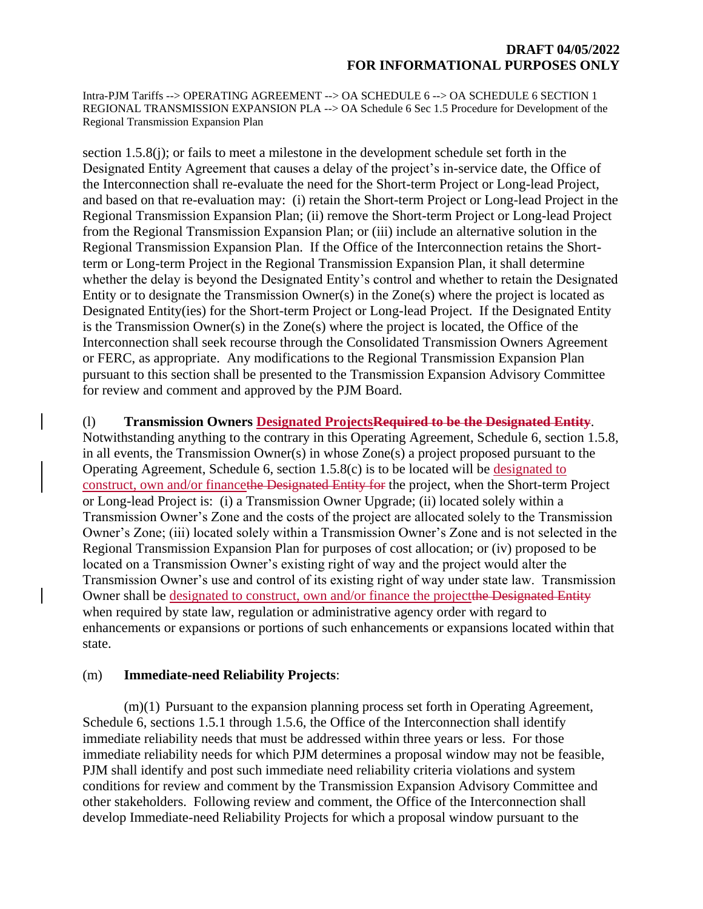Intra-PJM Tariffs --> OPERATING AGREEMENT --> OA SCHEDULE 6 --> OA SCHEDULE 6 SECTION 1 REGIONAL TRANSMISSION EXPANSION PLA --> OA Schedule 6 Sec 1.5 Procedure for Development of the Regional Transmission Expansion Plan

section 1.5.8(j); or fails to meet a milestone in the development schedule set forth in the Designated Entity Agreement that causes a delay of the project's in-service date, the Office of the Interconnection shall re-evaluate the need for the Short-term Project or Long-lead Project, and based on that re-evaluation may: (i) retain the Short-term Project or Long-lead Project in the Regional Transmission Expansion Plan; (ii) remove the Short-term Project or Long-lead Project from the Regional Transmission Expansion Plan; or (iii) include an alternative solution in the Regional Transmission Expansion Plan. If the Office of the Interconnection retains the Shortterm or Long-term Project in the Regional Transmission Expansion Plan, it shall determine whether the delay is beyond the Designated Entity's control and whether to retain the Designated Entity or to designate the Transmission Owner(s) in the Zone(s) where the project is located as Designated Entity(ies) for the Short-term Project or Long-lead Project. If the Designated Entity is the Transmission Owner(s) in the Zone(s) where the project is located, the Office of the Interconnection shall seek recourse through the Consolidated Transmission Owners Agreement or FERC, as appropriate. Any modifications to the Regional Transmission Expansion Plan pursuant to this section shall be presented to the Transmission Expansion Advisory Committee for review and comment and approved by the PJM Board.

### (l) **Transmission Owners Designated ProjectsRequired to be the Designated Entity**.

Notwithstanding anything to the contrary in this Operating Agreement, Schedule 6, section 1.5.8, in all events, the Transmission Owner(s) in whose Zone(s) a project proposed pursuant to the Operating Agreement, Schedule 6, section 1.5.8(c) is to be located will be designated to construct, own and/or financethe Designated Entity for the project, when the Short-term Project or Long-lead Project is: (i) a Transmission Owner Upgrade; (ii) located solely within a Transmission Owner's Zone and the costs of the project are allocated solely to the Transmission Owner's Zone; (iii) located solely within a Transmission Owner's Zone and is not selected in the Regional Transmission Expansion Plan for purposes of cost allocation; or (iv) proposed to be located on a Transmission Owner's existing right of way and the project would alter the Transmission Owner's use and control of its existing right of way under state law. Transmission Owner shall be designated to construct, own and/or finance the project<del>the Designated Entity</del> when required by state law, regulation or administrative agency order with regard to enhancements or expansions or portions of such enhancements or expansions located within that state.

#### (m) **Immediate-need Reliability Projects**:

(m)(1) Pursuant to the expansion planning process set forth in Operating Agreement, Schedule 6, sections 1.5.1 through 1.5.6, the Office of the Interconnection shall identify immediate reliability needs that must be addressed within three years or less. For those immediate reliability needs for which PJM determines a proposal window may not be feasible, PJM shall identify and post such immediate need reliability criteria violations and system conditions for review and comment by the Transmission Expansion Advisory Committee and other stakeholders. Following review and comment, the Office of the Interconnection shall develop Immediate-need Reliability Projects for which a proposal window pursuant to the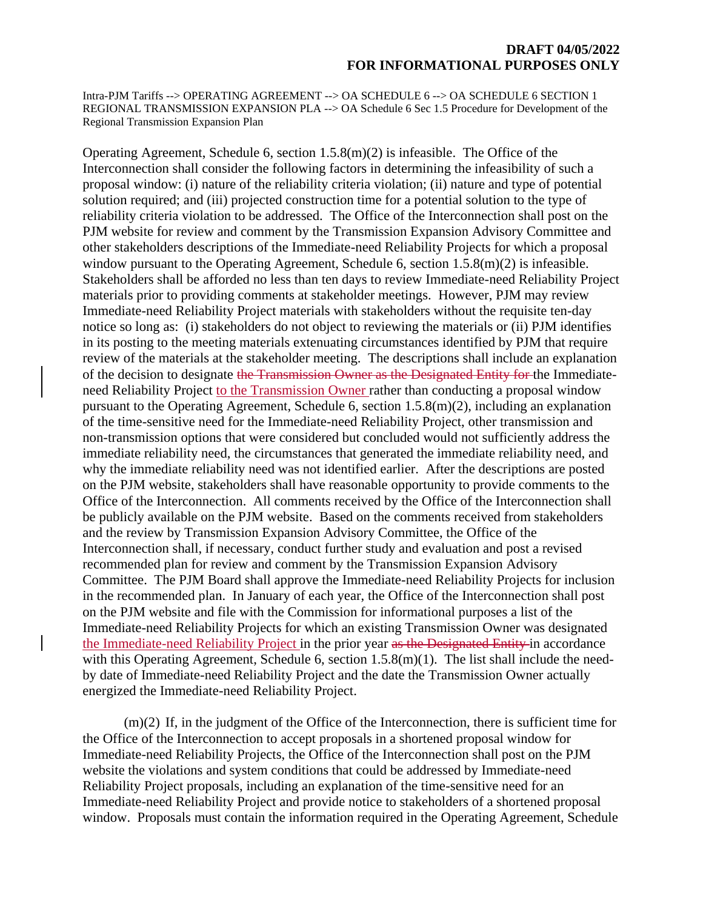Intra-PJM Tariffs --> OPERATING AGREEMENT --> OA SCHEDULE 6 --> OA SCHEDULE 6 SECTION 1 REGIONAL TRANSMISSION EXPANSION PLA --> OA Schedule 6 Sec 1.5 Procedure for Development of the Regional Transmission Expansion Plan

Operating Agreement, Schedule 6, section  $1.5.8(m)(2)$  is infeasible. The Office of the Interconnection shall consider the following factors in determining the infeasibility of such a proposal window: (i) nature of the reliability criteria violation; (ii) nature and type of potential solution required; and (iii) projected construction time for a potential solution to the type of reliability criteria violation to be addressed. The Office of the Interconnection shall post on the PJM website for review and comment by the Transmission Expansion Advisory Committee and other stakeholders descriptions of the Immediate-need Reliability Projects for which a proposal window pursuant to the Operating Agreement, Schedule 6, section 1.5.8(m)(2) is infeasible. Stakeholders shall be afforded no less than ten days to review Immediate-need Reliability Project materials prior to providing comments at stakeholder meetings. However, PJM may review Immediate-need Reliability Project materials with stakeholders without the requisite ten-day notice so long as: (i) stakeholders do not object to reviewing the materials or (ii) PJM identifies in its posting to the meeting materials extenuating circumstances identified by PJM that require review of the materials at the stakeholder meeting. The descriptions shall include an explanation of the decision to designate the Transmission Owner as the Designated Entity for the Immediateneed Reliability Project to the Transmission Owner rather than conducting a proposal window pursuant to the Operating Agreement, Schedule 6, section 1.5.8(m)(2), including an explanation of the time-sensitive need for the Immediate-need Reliability Project, other transmission and non-transmission options that were considered but concluded would not sufficiently address the immediate reliability need, the circumstances that generated the immediate reliability need, and why the immediate reliability need was not identified earlier. After the descriptions are posted on the PJM website, stakeholders shall have reasonable opportunity to provide comments to the Office of the Interconnection. All comments received by the Office of the Interconnection shall be publicly available on the PJM website. Based on the comments received from stakeholders and the review by Transmission Expansion Advisory Committee, the Office of the Interconnection shall, if necessary, conduct further study and evaluation and post a revised recommended plan for review and comment by the Transmission Expansion Advisory Committee. The PJM Board shall approve the Immediate-need Reliability Projects for inclusion in the recommended plan. In January of each year, the Office of the Interconnection shall post on the PJM website and file with the Commission for informational purposes a list of the Immediate-need Reliability Projects for which an existing Transmission Owner was designated the Immediate-need Reliability Project in the prior year as the Designated Entity in accordance with this Operating Agreement, Schedule 6, section 1.5.8(m)(1). The list shall include the needby date of Immediate-need Reliability Project and the date the Transmission Owner actually energized the Immediate-need Reliability Project.

 $(m)(2)$  If, in the judgment of the Office of the Interconnection, there is sufficient time for the Office of the Interconnection to accept proposals in a shortened proposal window for Immediate-need Reliability Projects, the Office of the Interconnection shall post on the PJM website the violations and system conditions that could be addressed by Immediate-need Reliability Project proposals, including an explanation of the time-sensitive need for an Immediate-need Reliability Project and provide notice to stakeholders of a shortened proposal window. Proposals must contain the information required in the Operating Agreement, Schedule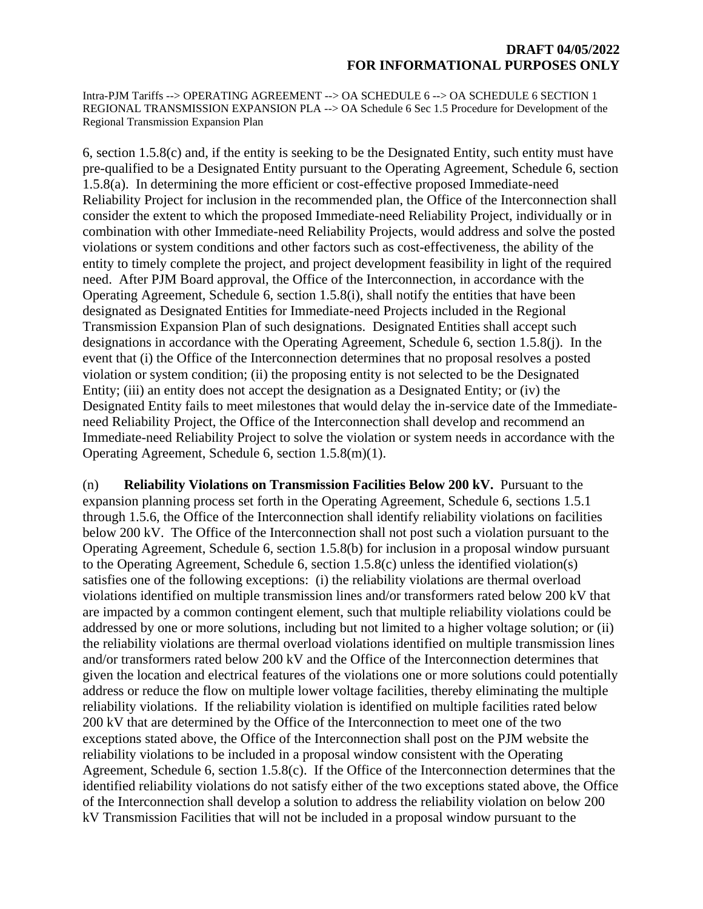6, section 1.5.8(c) and, if the entity is seeking to be the Designated Entity, such entity must have pre-qualified to be a Designated Entity pursuant to the Operating Agreement, Schedule 6, section 1.5.8(a). In determining the more efficient or cost-effective proposed Immediate-need Reliability Project for inclusion in the recommended plan, the Office of the Interconnection shall consider the extent to which the proposed Immediate-need Reliability Project, individually or in combination with other Immediate-need Reliability Projects, would address and solve the posted violations or system conditions and other factors such as cost-effectiveness, the ability of the entity to timely complete the project, and project development feasibility in light of the required need. After PJM Board approval, the Office of the Interconnection, in accordance with the Operating Agreement, Schedule 6, section 1.5.8(i), shall notify the entities that have been designated as Designated Entities for Immediate-need Projects included in the Regional Transmission Expansion Plan of such designations. Designated Entities shall accept such designations in accordance with the Operating Agreement, Schedule 6, section 1.5.8(j). In the event that (i) the Office of the Interconnection determines that no proposal resolves a posted violation or system condition; (ii) the proposing entity is not selected to be the Designated Entity; (iii) an entity does not accept the designation as a Designated Entity; or (iv) the Designated Entity fails to meet milestones that would delay the in-service date of the Immediateneed Reliability Project, the Office of the Interconnection shall develop and recommend an Immediate-need Reliability Project to solve the violation or system needs in accordance with the Operating Agreement, Schedule 6, section 1.5.8(m)(1).

(n) **Reliability Violations on Transmission Facilities Below 200 kV.** Pursuant to the expansion planning process set forth in the Operating Agreement, Schedule 6, sections 1.5.1 through 1.5.6, the Office of the Interconnection shall identify reliability violations on facilities below 200 kV. The Office of the Interconnection shall not post such a violation pursuant to the Operating Agreement, Schedule 6, section 1.5.8(b) for inclusion in a proposal window pursuant to the Operating Agreement, Schedule 6, section 1.5.8(c) unless the identified violation(s) satisfies one of the following exceptions: (i) the reliability violations are thermal overload violations identified on multiple transmission lines and/or transformers rated below 200 kV that are impacted by a common contingent element, such that multiple reliability violations could be addressed by one or more solutions, including but not limited to a higher voltage solution; or (ii) the reliability violations are thermal overload violations identified on multiple transmission lines and/or transformers rated below 200 kV and the Office of the Interconnection determines that given the location and electrical features of the violations one or more solutions could potentially address or reduce the flow on multiple lower voltage facilities, thereby eliminating the multiple reliability violations. If the reliability violation is identified on multiple facilities rated below 200 kV that are determined by the Office of the Interconnection to meet one of the two exceptions stated above, the Office of the Interconnection shall post on the PJM website the reliability violations to be included in a proposal window consistent with the Operating Agreement, Schedule 6, section 1.5.8(c). If the Office of the Interconnection determines that the identified reliability violations do not satisfy either of the two exceptions stated above, the Office of the Interconnection shall develop a solution to address the reliability violation on below 200 kV Transmission Facilities that will not be included in a proposal window pursuant to the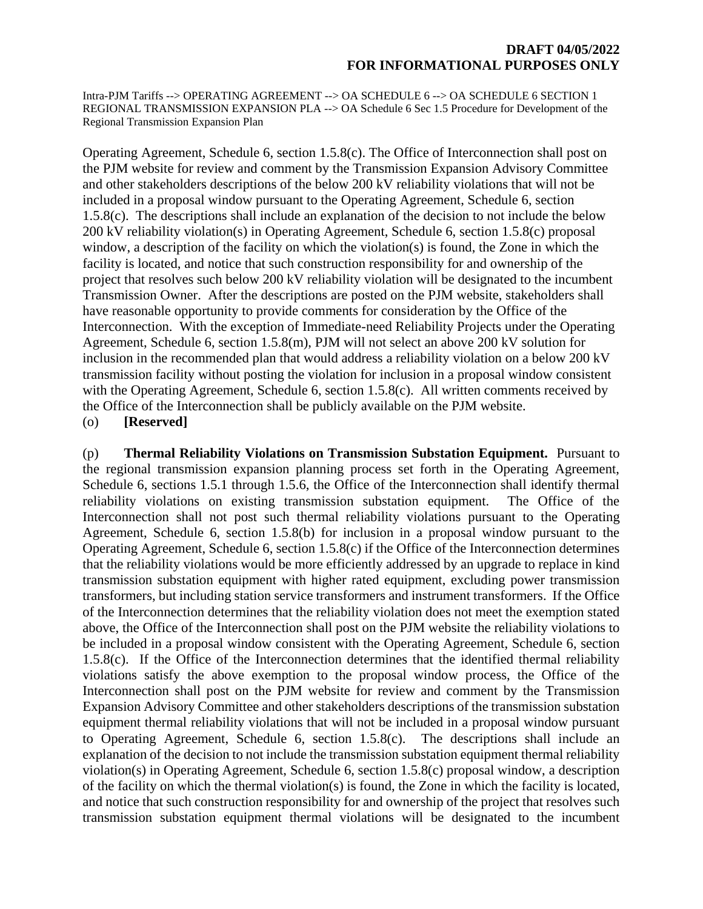Operating Agreement, Schedule 6, section 1.5.8(c). The Office of Interconnection shall post on the PJM website for review and comment by the Transmission Expansion Advisory Committee and other stakeholders descriptions of the below 200 kV reliability violations that will not be included in a proposal window pursuant to the Operating Agreement, Schedule 6, section 1.5.8(c). The descriptions shall include an explanation of the decision to not include the below 200 kV reliability violation(s) in Operating Agreement, Schedule 6, section 1.5.8(c) proposal window, a description of the facility on which the violation(s) is found, the Zone in which the facility is located, and notice that such construction responsibility for and ownership of the project that resolves such below 200 kV reliability violation will be designated to the incumbent Transmission Owner. After the descriptions are posted on the PJM website, stakeholders shall have reasonable opportunity to provide comments for consideration by the Office of the Interconnection. With the exception of Immediate-need Reliability Projects under the Operating Agreement, Schedule 6, section 1.5.8(m), PJM will not select an above 200 kV solution for inclusion in the recommended plan that would address a reliability violation on a below 200 kV transmission facility without posting the violation for inclusion in a proposal window consistent with the Operating Agreement, Schedule 6, section 1.5.8(c). All written comments received by the Office of the Interconnection shall be publicly available on the PJM website.

(o) **[Reserved]**

(p) **Thermal Reliability Violations on Transmission Substation Equipment.** Pursuant to the regional transmission expansion planning process set forth in the Operating Agreement, Schedule 6, sections 1.5.1 through 1.5.6, the Office of the Interconnection shall identify thermal reliability violations on existing transmission substation equipment. The Office of the Interconnection shall not post such thermal reliability violations pursuant to the Operating Agreement, Schedule 6, section 1.5.8(b) for inclusion in a proposal window pursuant to the Operating Agreement, Schedule 6, section 1.5.8(c) if the Office of the Interconnection determines that the reliability violations would be more efficiently addressed by an upgrade to replace in kind transmission substation equipment with higher rated equipment, excluding power transmission transformers, but including station service transformers and instrument transformers. If the Office of the Interconnection determines that the reliability violation does not meet the exemption stated above, the Office of the Interconnection shall post on the PJM website the reliability violations to be included in a proposal window consistent with the Operating Agreement, Schedule 6, section 1.5.8(c). If the Office of the Interconnection determines that the identified thermal reliability violations satisfy the above exemption to the proposal window process, the Office of the Interconnection shall post on the PJM website for review and comment by the Transmission Expansion Advisory Committee and other stakeholders descriptions of the transmission substation equipment thermal reliability violations that will not be included in a proposal window pursuant to Operating Agreement, Schedule 6, section 1.5.8(c). The descriptions shall include an explanation of the decision to not include the transmission substation equipment thermal reliability violation(s) in Operating Agreement, Schedule 6, section 1.5.8(c) proposal window, a description of the facility on which the thermal violation(s) is found, the Zone in which the facility is located, and notice that such construction responsibility for and ownership of the project that resolves such transmission substation equipment thermal violations will be designated to the incumbent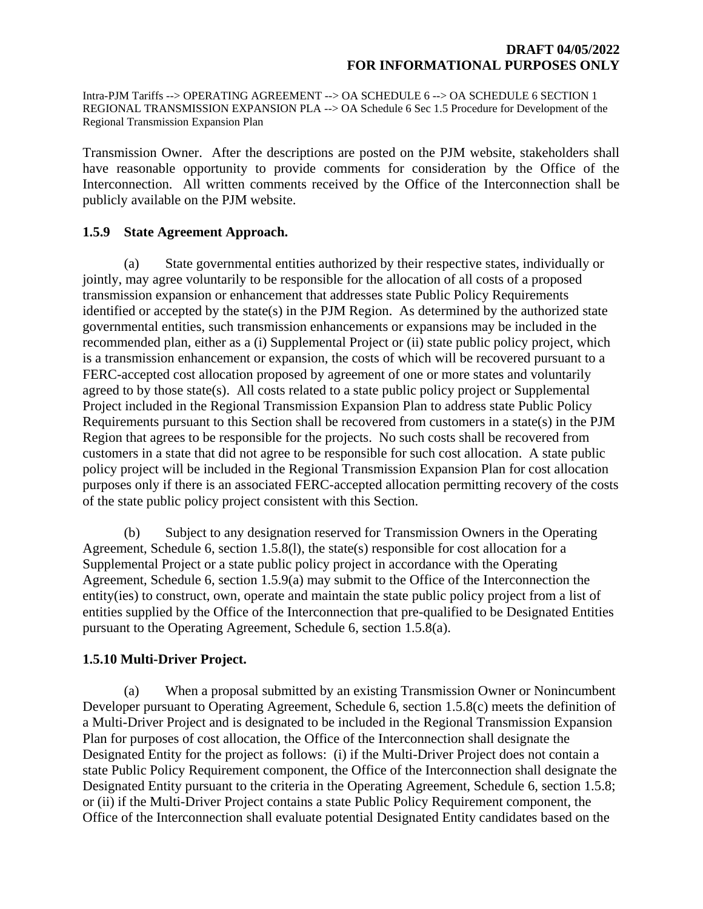Transmission Owner. After the descriptions are posted on the PJM website, stakeholders shall have reasonable opportunity to provide comments for consideration by the Office of the Interconnection. All written comments received by the Office of the Interconnection shall be publicly available on the PJM website.

### **1.5.9 State Agreement Approach.**

(a) State governmental entities authorized by their respective states, individually or jointly, may agree voluntarily to be responsible for the allocation of all costs of a proposed transmission expansion or enhancement that addresses state Public Policy Requirements identified or accepted by the state(s) in the PJM Region. As determined by the authorized state governmental entities, such transmission enhancements or expansions may be included in the recommended plan, either as a (i) Supplemental Project or (ii) state public policy project, which is a transmission enhancement or expansion, the costs of which will be recovered pursuant to a FERC-accepted cost allocation proposed by agreement of one or more states and voluntarily agreed to by those state(s). All costs related to a state public policy project or Supplemental Project included in the Regional Transmission Expansion Plan to address state Public Policy Requirements pursuant to this Section shall be recovered from customers in a state(s) in the PJM Region that agrees to be responsible for the projects. No such costs shall be recovered from customers in a state that did not agree to be responsible for such cost allocation. A state public policy project will be included in the Regional Transmission Expansion Plan for cost allocation purposes only if there is an associated FERC-accepted allocation permitting recovery of the costs of the state public policy project consistent with this Section.

(b) Subject to any designation reserved for Transmission Owners in the Operating Agreement, Schedule 6, section 1.5.8(l), the state(s) responsible for cost allocation for a Supplemental Project or a state public policy project in accordance with the Operating Agreement, Schedule 6, section 1.5.9(a) may submit to the Office of the Interconnection the entity(ies) to construct, own, operate and maintain the state public policy project from a list of entities supplied by the Office of the Interconnection that pre-qualified to be Designated Entities pursuant to the Operating Agreement, Schedule 6, section 1.5.8(a).

# **1.5.10 Multi-Driver Project.**

(a) When a proposal submitted by an existing Transmission Owner or Nonincumbent Developer pursuant to Operating Agreement, Schedule 6, section 1.5.8(c) meets the definition of a Multi-Driver Project and is designated to be included in the Regional Transmission Expansion Plan for purposes of cost allocation, the Office of the Interconnection shall designate the Designated Entity for the project as follows: (i) if the Multi-Driver Project does not contain a state Public Policy Requirement component, the Office of the Interconnection shall designate the Designated Entity pursuant to the criteria in the Operating Agreement, Schedule 6, section 1.5.8; or (ii) if the Multi-Driver Project contains a state Public Policy Requirement component, the Office of the Interconnection shall evaluate potential Designated Entity candidates based on the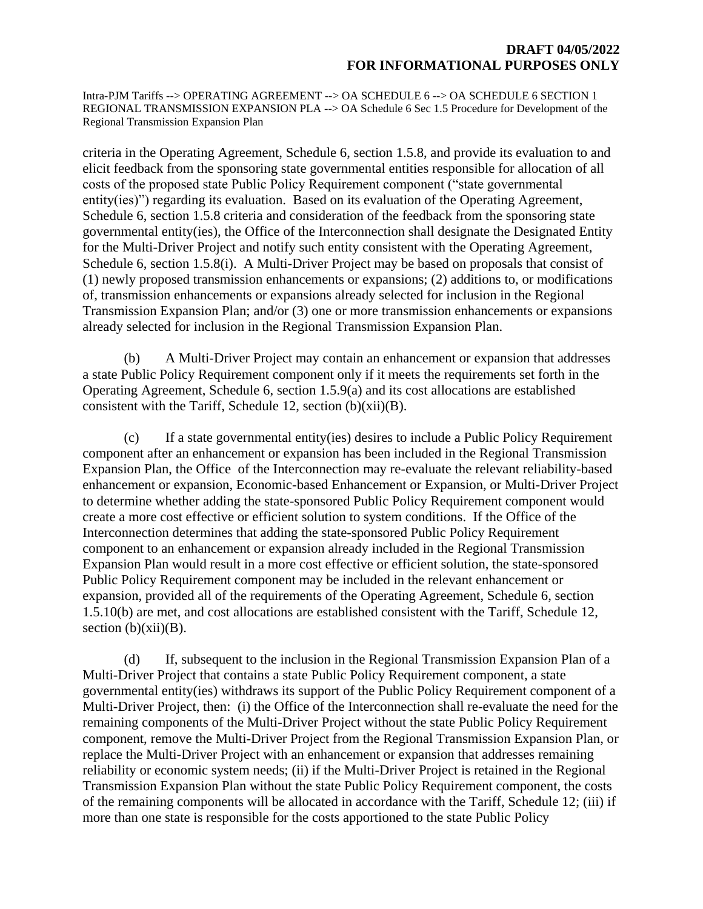criteria in the Operating Agreement, Schedule 6, section 1.5.8, and provide its evaluation to and elicit feedback from the sponsoring state governmental entities responsible for allocation of all costs of the proposed state Public Policy Requirement component ("state governmental entity(ies)") regarding its evaluation. Based on its evaluation of the Operating Agreement, Schedule 6, section 1.5.8 criteria and consideration of the feedback from the sponsoring state governmental entity(ies), the Office of the Interconnection shall designate the Designated Entity for the Multi-Driver Project and notify such entity consistent with the Operating Agreement, Schedule 6, section 1.5.8(i). A Multi-Driver Project may be based on proposals that consist of (1) newly proposed transmission enhancements or expansions; (2) additions to, or modifications of, transmission enhancements or expansions already selected for inclusion in the Regional Transmission Expansion Plan; and/or (3) one or more transmission enhancements or expansions already selected for inclusion in the Regional Transmission Expansion Plan.

(b) A Multi-Driver Project may contain an enhancement or expansion that addresses a state Public Policy Requirement component only if it meets the requirements set forth in the Operating Agreement, Schedule 6, section 1.5.9(a) and its cost allocations are established consistent with the Tariff, Schedule 12, section  $(b)(xii)(B)$ .

(c) If a state governmental entity(ies) desires to include a Public Policy Requirement component after an enhancement or expansion has been included in the Regional Transmission Expansion Plan, the Office of the Interconnection may re-evaluate the relevant reliability-based enhancement or expansion, Economic-based Enhancement or Expansion, or Multi-Driver Project to determine whether adding the state-sponsored Public Policy Requirement component would create a more cost effective or efficient solution to system conditions. If the Office of the Interconnection determines that adding the state-sponsored Public Policy Requirement component to an enhancement or expansion already included in the Regional Transmission Expansion Plan would result in a more cost effective or efficient solution, the state-sponsored Public Policy Requirement component may be included in the relevant enhancement or expansion, provided all of the requirements of the Operating Agreement, Schedule 6, section 1.5.10(b) are met, and cost allocations are established consistent with the Tariff, Schedule 12, section  $(b)(xii)(B)$ .

(d) If, subsequent to the inclusion in the Regional Transmission Expansion Plan of a Multi-Driver Project that contains a state Public Policy Requirement component, a state governmental entity(ies) withdraws its support of the Public Policy Requirement component of a Multi-Driver Project, then: (i) the Office of the Interconnection shall re-evaluate the need for the remaining components of the Multi-Driver Project without the state Public Policy Requirement component, remove the Multi-Driver Project from the Regional Transmission Expansion Plan, or replace the Multi-Driver Project with an enhancement or expansion that addresses remaining reliability or economic system needs; (ii) if the Multi-Driver Project is retained in the Regional Transmission Expansion Plan without the state Public Policy Requirement component, the costs of the remaining components will be allocated in accordance with the Tariff, Schedule 12; (iii) if more than one state is responsible for the costs apportioned to the state Public Policy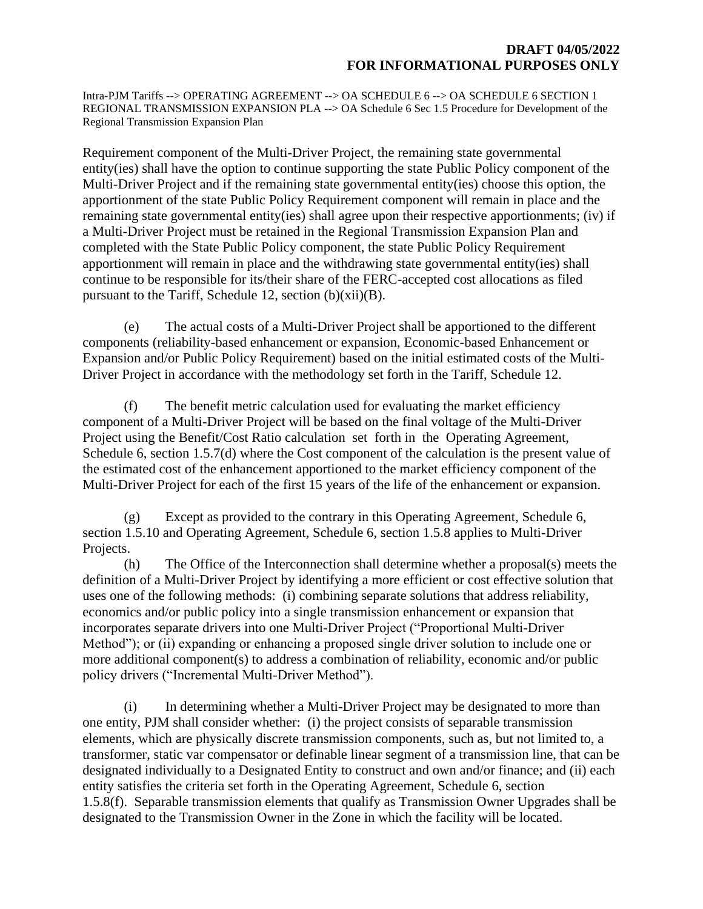Requirement component of the Multi-Driver Project, the remaining state governmental entity(ies) shall have the option to continue supporting the state Public Policy component of the Multi-Driver Project and if the remaining state governmental entity(ies) choose this option, the apportionment of the state Public Policy Requirement component will remain in place and the remaining state governmental entity(ies) shall agree upon their respective apportionments; (iv) if a Multi-Driver Project must be retained in the Regional Transmission Expansion Plan and completed with the State Public Policy component, the state Public Policy Requirement apportionment will remain in place and the withdrawing state governmental entity(ies) shall continue to be responsible for its/their share of the FERC-accepted cost allocations as filed pursuant to the Tariff, Schedule 12, section (b)(xii)(B).

(e) The actual costs of a Multi-Driver Project shall be apportioned to the different components (reliability-based enhancement or expansion, Economic-based Enhancement or Expansion and/or Public Policy Requirement) based on the initial estimated costs of the Multi-Driver Project in accordance with the methodology set forth in the Tariff, Schedule 12.

(f) The benefit metric calculation used for evaluating the market efficiency component of a Multi-Driver Project will be based on the final voltage of the Multi-Driver Project using the Benefit/Cost Ratio calculation set forth in the Operating Agreement, Schedule 6, section 1.5.7(d) where the Cost component of the calculation is the present value of the estimated cost of the enhancement apportioned to the market efficiency component of the Multi-Driver Project for each of the first 15 years of the life of the enhancement or expansion.

(g) Except as provided to the contrary in this Operating Agreement, Schedule 6, section 1.5.10 and Operating Agreement, Schedule 6, section 1.5.8 applies to Multi-Driver Projects.

(h) The Office of the Interconnection shall determine whether a proposal(s) meets the definition of a Multi-Driver Project by identifying a more efficient or cost effective solution that uses one of the following methods: (i) combining separate solutions that address reliability, economics and/or public policy into a single transmission enhancement or expansion that incorporates separate drivers into one Multi-Driver Project ("Proportional Multi-Driver Method"); or (ii) expanding or enhancing a proposed single driver solution to include one or more additional component(s) to address a combination of reliability, economic and/or public policy drivers ("Incremental Multi-Driver Method").

(i) In determining whether a Multi-Driver Project may be designated to more than one entity, PJM shall consider whether: (i) the project consists of separable transmission elements, which are physically discrete transmission components, such as, but not limited to, a transformer, static var compensator or definable linear segment of a transmission line, that can be designated individually to a Designated Entity to construct and own and/or finance; and (ii) each entity satisfies the criteria set forth in the Operating Agreement, Schedule 6, section 1.5.8(f). Separable transmission elements that qualify as Transmission Owner Upgrades shall be designated to the Transmission Owner in the Zone in which the facility will be located.